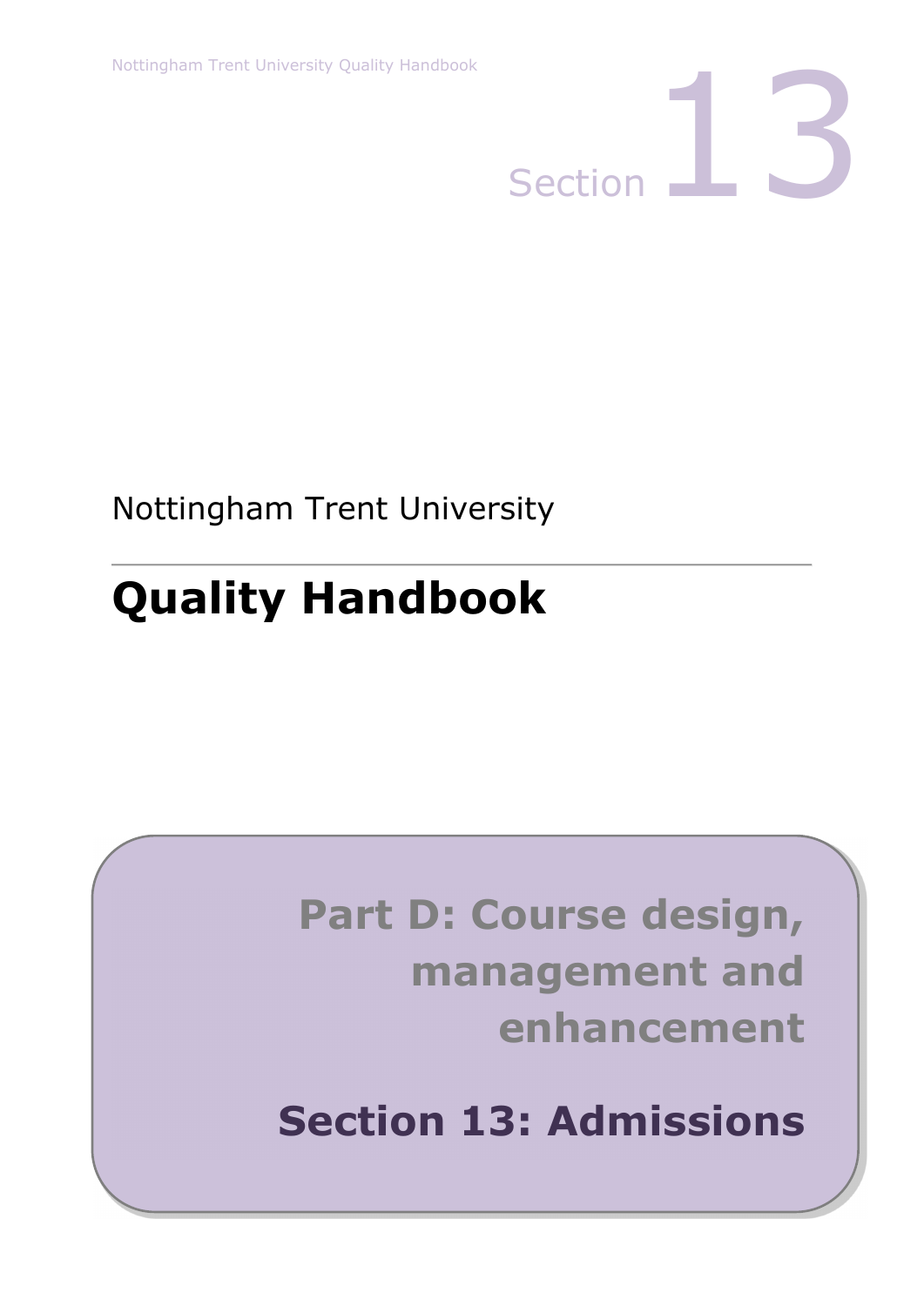

Nottingham Trent University

# **Quality Handbook**

# **Part D: Course design, management and enhancement**

**Section 13: Admissions**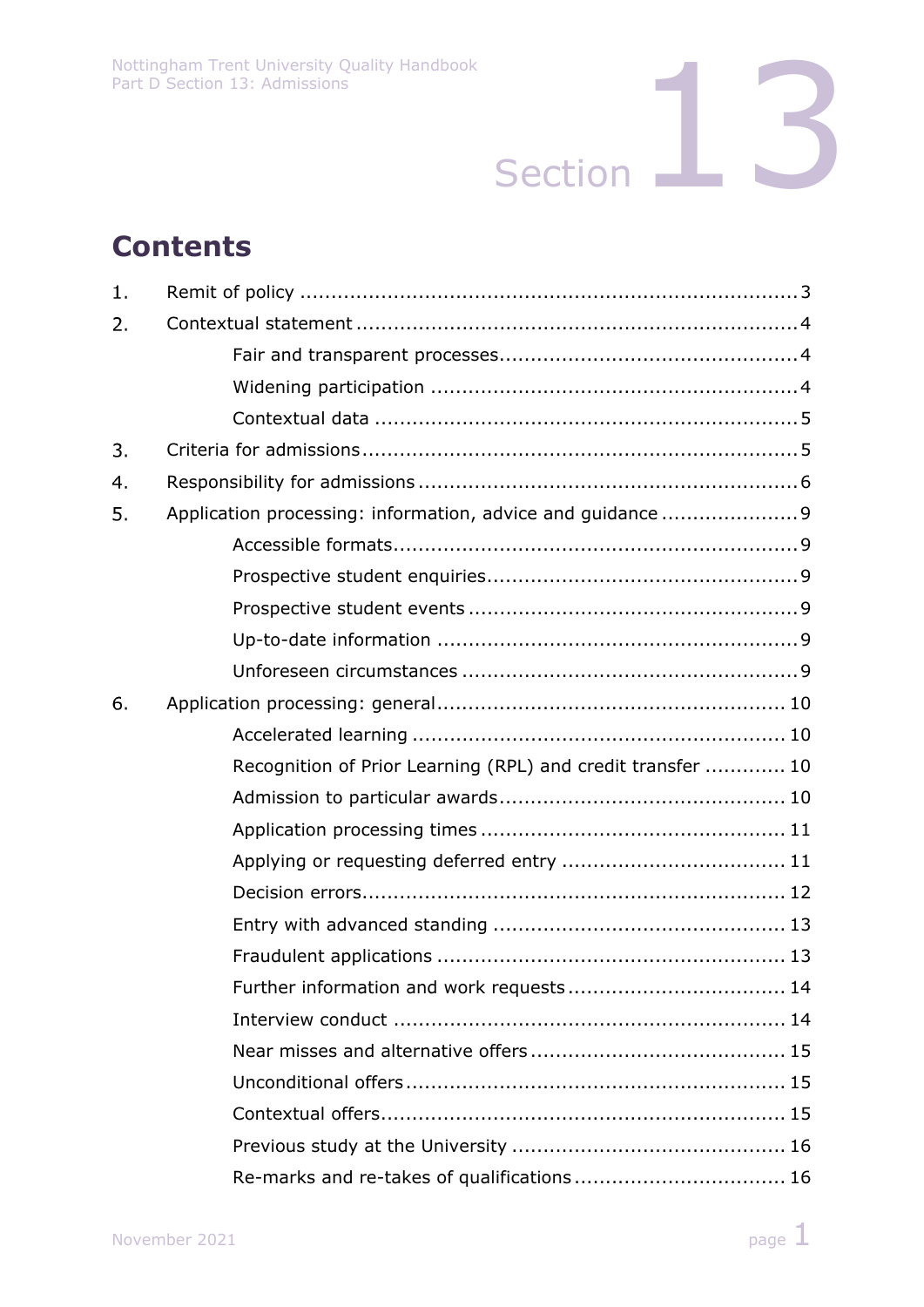# **Contents**

| 1. |                                                             |  |  |  |
|----|-------------------------------------------------------------|--|--|--|
| 2. |                                                             |  |  |  |
|    |                                                             |  |  |  |
|    |                                                             |  |  |  |
|    |                                                             |  |  |  |
| 3. |                                                             |  |  |  |
| 4. |                                                             |  |  |  |
| 5. |                                                             |  |  |  |
|    |                                                             |  |  |  |
|    |                                                             |  |  |  |
|    |                                                             |  |  |  |
|    |                                                             |  |  |  |
|    |                                                             |  |  |  |
| 6. |                                                             |  |  |  |
|    |                                                             |  |  |  |
|    | Recognition of Prior Learning (RPL) and credit transfer  10 |  |  |  |
|    |                                                             |  |  |  |
|    |                                                             |  |  |  |
|    |                                                             |  |  |  |
|    |                                                             |  |  |  |
|    |                                                             |  |  |  |
|    |                                                             |  |  |  |
|    |                                                             |  |  |  |
|    |                                                             |  |  |  |
|    |                                                             |  |  |  |
|    |                                                             |  |  |  |
|    |                                                             |  |  |  |
|    |                                                             |  |  |  |
|    | Re-marks and re-takes of qualifications 16                  |  |  |  |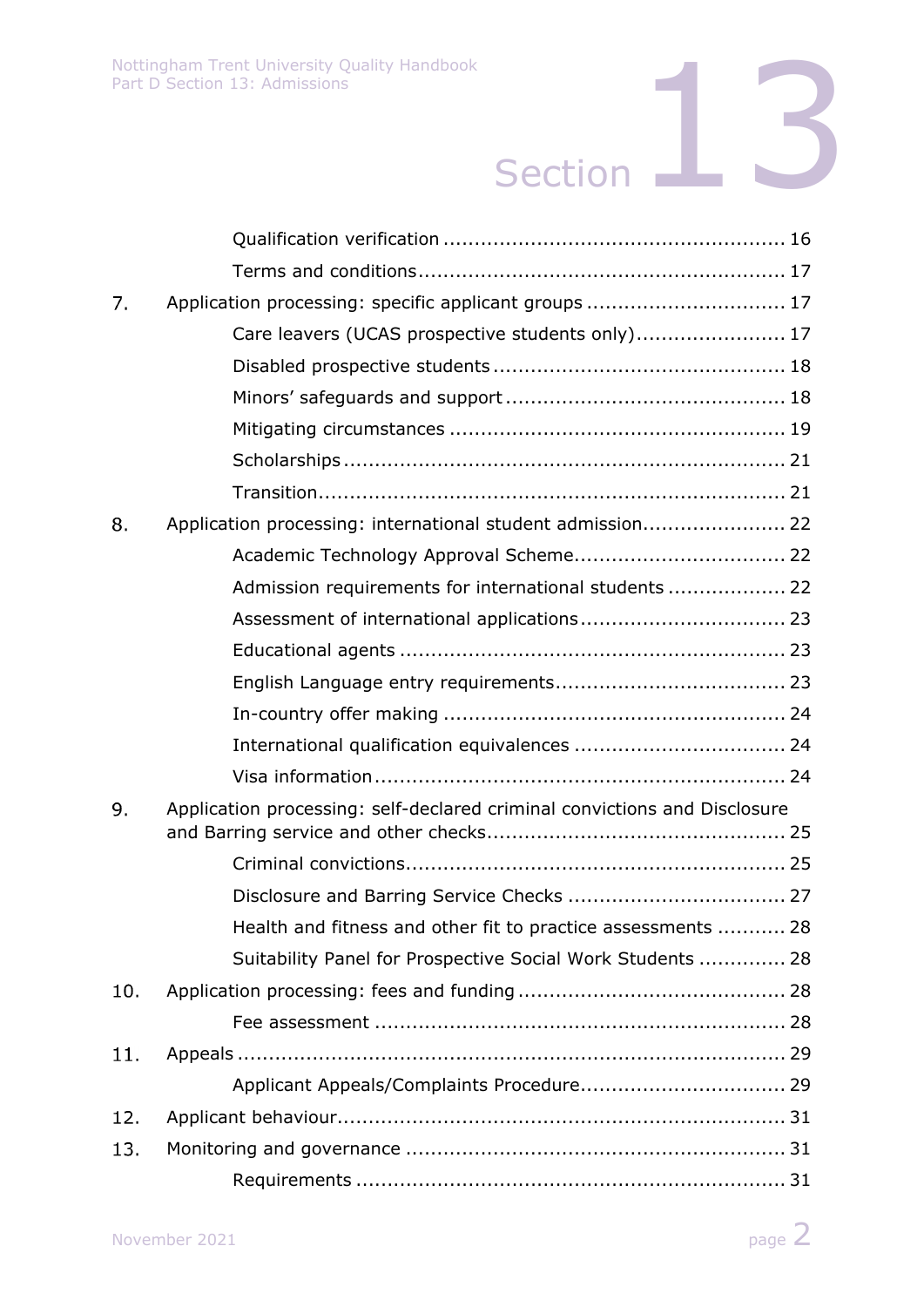| 7.  | Application processing: specific applicant groups  17                     |
|-----|---------------------------------------------------------------------------|
|     | Care leavers (UCAS prospective students only) 17                          |
|     |                                                                           |
|     |                                                                           |
|     |                                                                           |
|     |                                                                           |
|     |                                                                           |
| 8.  | Application processing: international student admission 22                |
|     |                                                                           |
|     | Admission requirements for international students  22                     |
|     |                                                                           |
|     |                                                                           |
|     |                                                                           |
|     |                                                                           |
|     |                                                                           |
|     |                                                                           |
| 9.  | Application processing: self-declared criminal convictions and Disclosure |
|     |                                                                           |
|     |                                                                           |
|     | Health and fitness and other fit to practice assessments  28              |
|     | Suitability Panel for Prospective Social Work Students  28                |
| 10. |                                                                           |
|     |                                                                           |
| 11. |                                                                           |
|     |                                                                           |
| 12. |                                                                           |
| 13. |                                                                           |
|     |                                                                           |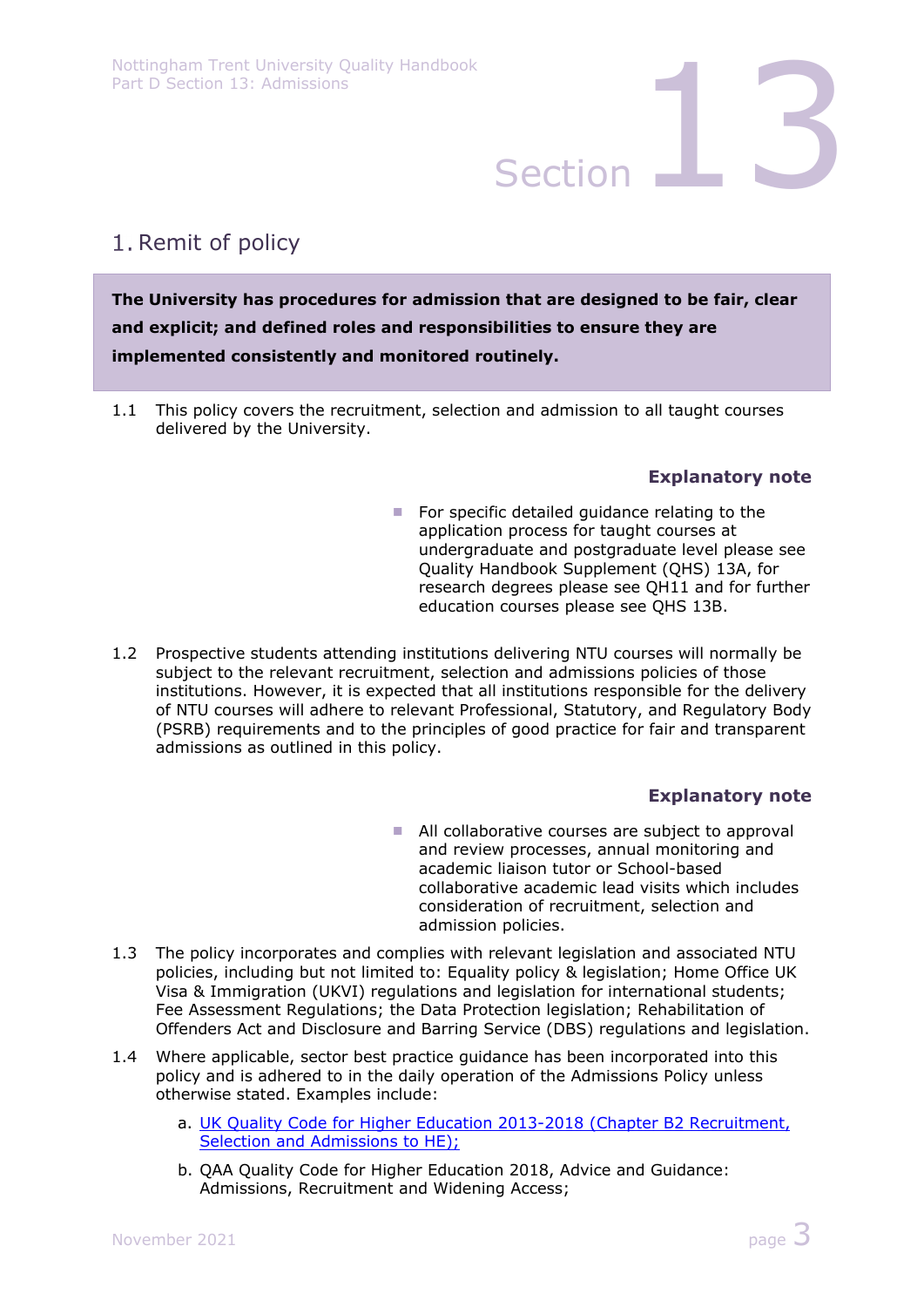# 1. Remit of policy

**The University has procedures for admission that are designed to be fair, clear and explicit; and defined roles and responsibilities to ensure they are implemented consistently and monitored routinely.** 

1.1 This policy covers the recruitment, selection and admission to all taught courses delivered by the University.

### **Explanatory note**

- For specific detailed guidance relating to the application process for taught courses at undergraduate and postgraduate level please see Quality Handbook Supplement (QHS) 13A, for research degrees please see QH11 and for further education courses please see QHS 13B.
- 1.2 Prospective students attending institutions delivering NTU courses will normally be subject to the relevant recruitment, selection and admissions policies of those institutions. However, it is expected that all institutions responsible for the delivery of NTU courses will adhere to relevant Professional, Statutory, and Regulatory Body (PSRB) requirements and to the principles of good practice for fair and transparent admissions as outlined in this policy.

### **Explanatory note**

- All collaborative courses are subject to approval and review processes, annual monitoring and academic liaison tutor or School-based collaborative academic lead visits which includes consideration of recruitment, selection and admission policies.
- 1.3 The policy incorporates and complies with relevant legislation and associated NTU policies, including but not limited to: Equality policy & legislation; Home Office UK Visa & Immigration (UKVI) regulations and legislation for international students; Fee Assessment Regulations; the Data Protection legislation; Rehabilitation of Offenders Act and Disclosure and Barring Service (DBS) regulations and legislation.
- 1.4 Where applicable, sector best practice guidance has been incorporated into this policy and is adhered to in the daily operation of the Admissions Policy unless otherwise stated. Examples include:
	- a. UK Quality Code for Higher Education 2013-2018 (Chapter B2 Recruitment, Selection and Admissions to HE);
	- b. QAA Quality Code for Higher Education 2018, Advice and Guidance: Admissions, Recruitment and Widening Access;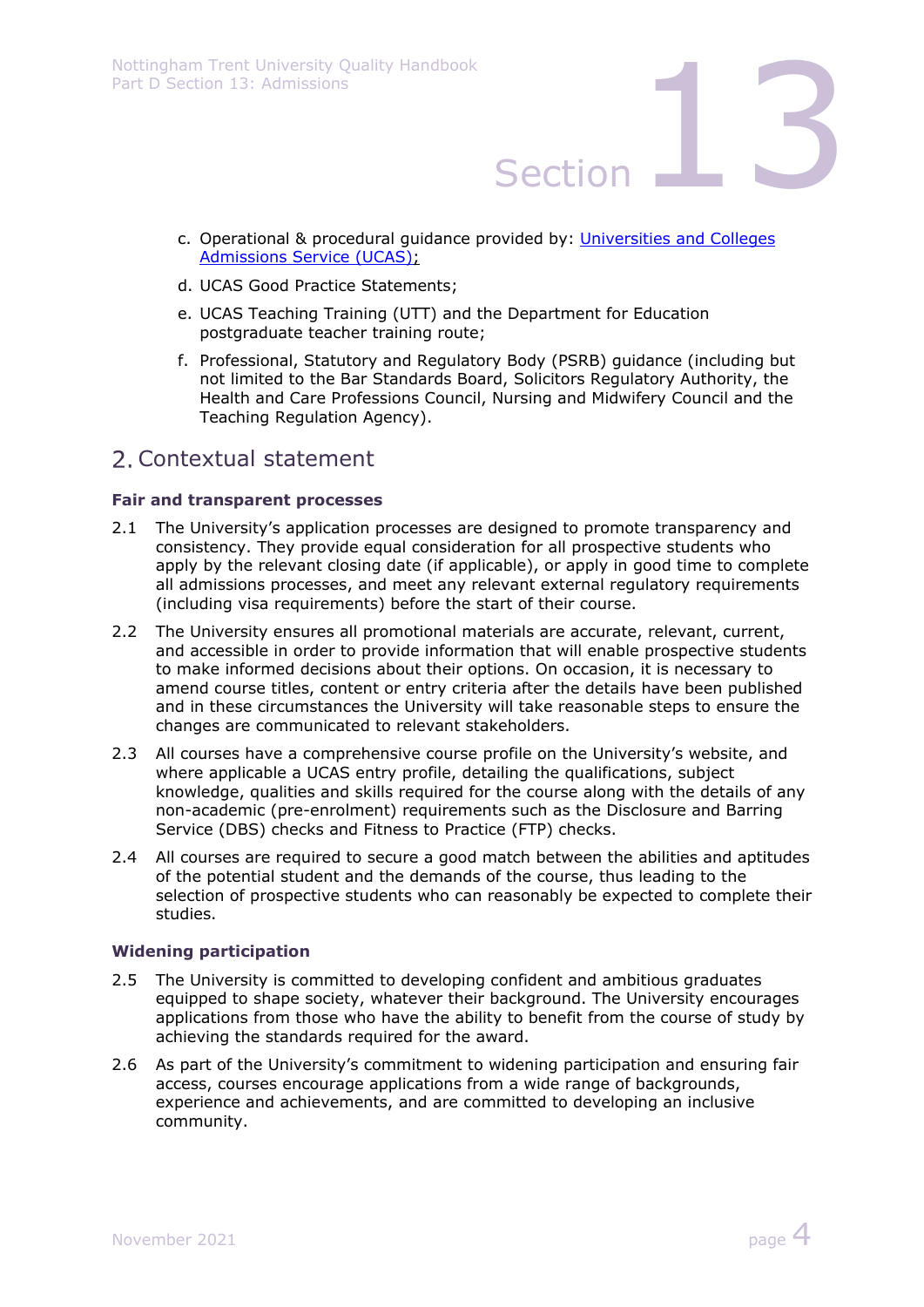- c. Operational & procedural guidance provided by: Universities and Colleges Admissions Service (UCAS);
- d. UCAS Good Practice Statements;
- e. UCAS Teaching Training (UTT) and the Department for Education postgraduate teacher training route;
- f. Professional, Statutory and Regulatory Body (PSRB) guidance (including but not limited to the Bar Standards Board, Solicitors Regulatory Authority, the Health and Care Professions Council, Nursing and Midwifery Council and the Teaching Regulation Agency).

## Contextual statement

### **Fair and transparent processes**

- 2.1 The University's application processes are designed to promote transparency and consistency. They provide equal consideration for all prospective students who apply by the relevant closing date (if applicable), or apply in good time to complete all admissions processes, and meet any relevant external regulatory requirements (including visa requirements) before the start of their course.
- 2.2 The University ensures all promotional materials are accurate, relevant, current, and accessible in order to provide information that will enable prospective students to make informed decisions about their options. On occasion, it is necessary to amend course titles, content or entry criteria after the details have been published and in these circumstances the University will take reasonable steps to ensure the changes are communicated to relevant stakeholders.
- 2.3 All courses have a comprehensive course profile on the University's website, and where applicable a UCAS entry profile, detailing the qualifications, subject knowledge, qualities and skills required for the course along with the details of any non-academic (pre-enrolment) requirements such as the Disclosure and Barring Service (DBS) checks and Fitness to Practice (FTP) checks.
- 2.4 All courses are required to secure a good match between the abilities and aptitudes of the potential student and the demands of the course, thus leading to the selection of prospective students who can reasonably be expected to complete their studies.

### **Widening participation**

- 2.5 The University is committed to developing confident and ambitious graduates equipped to shape society, whatever their background. The University encourages applications from those who have the ability to benefit from the course of study by achieving the standards required for the award.
- 2.6 As part of the University's commitment to widening participation and ensuring fair access, courses encourage applications from a wide range of backgrounds, experience and achievements, and are committed to developing an inclusive community.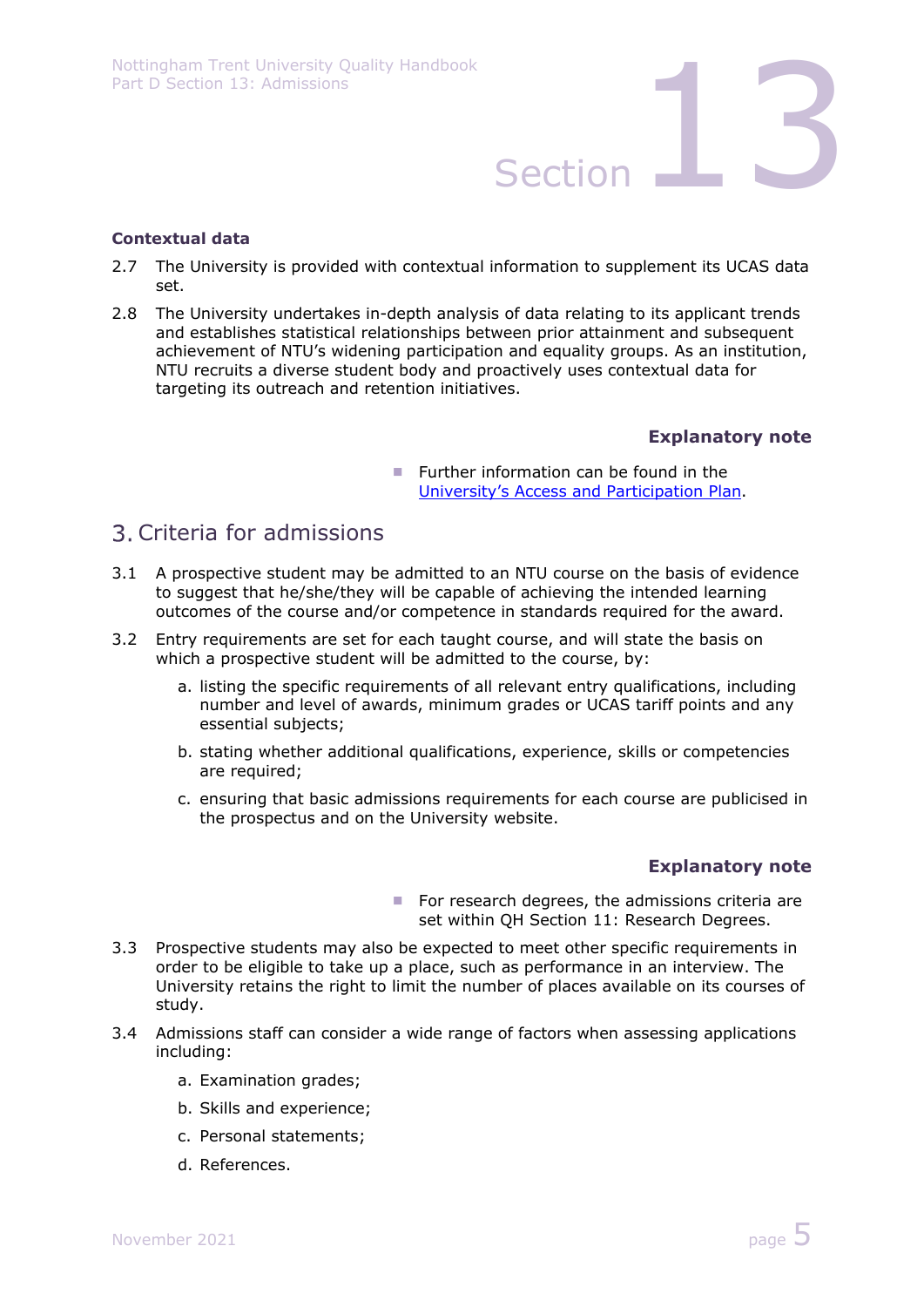### **Contextual data**

- 2.7 The University is provided with contextual information to supplement its UCAS data set.
- 2.8 The University undertakes in-depth analysis of data relating to its applicant trends and establishes statistical relationships between prior attainment and subsequent achievement of NTU's widening participation and equality groups. As an institution, NTU recruits a diverse student body and proactively uses contextual data for targeting its outreach and retention initiatives.

### **Explanatory note**

Further information can be found in the University's Access and Participation Plan.

## Criteria for admissions

- 3.1 A prospective student may be admitted to an NTU course on the basis of evidence to suggest that he/she/they will be capable of achieving the intended learning outcomes of the course and/or competence in standards required for the award.
- 3.2 Entry requirements are set for each taught course, and will state the basis on which a prospective student will be admitted to the course, by:
	- a. listing the specific requirements of all relevant entry qualifications, including number and level of awards, minimum grades or UCAS tariff points and any essential subjects;
	- b. stating whether additional qualifications, experience, skills or competencies are required;
	- c. ensuring that basic admissions requirements for each course are publicised in the prospectus and on the University website.

### **Explanatory note**

- $\blacksquare$  For research degrees, the admissions criteria are set within QH Section 11: Research Degrees.
- 3.3 Prospective students may also be expected to meet other specific requirements in order to be eligible to take up a place, such as performance in an interview. The University retains the right to limit the number of places available on its courses of study.
- 3.4 Admissions staff can consider a wide range of factors when assessing applications including:
	- a. Examination grades;
	- b. Skills and experience;
	- c. Personal statements;
	- d. References.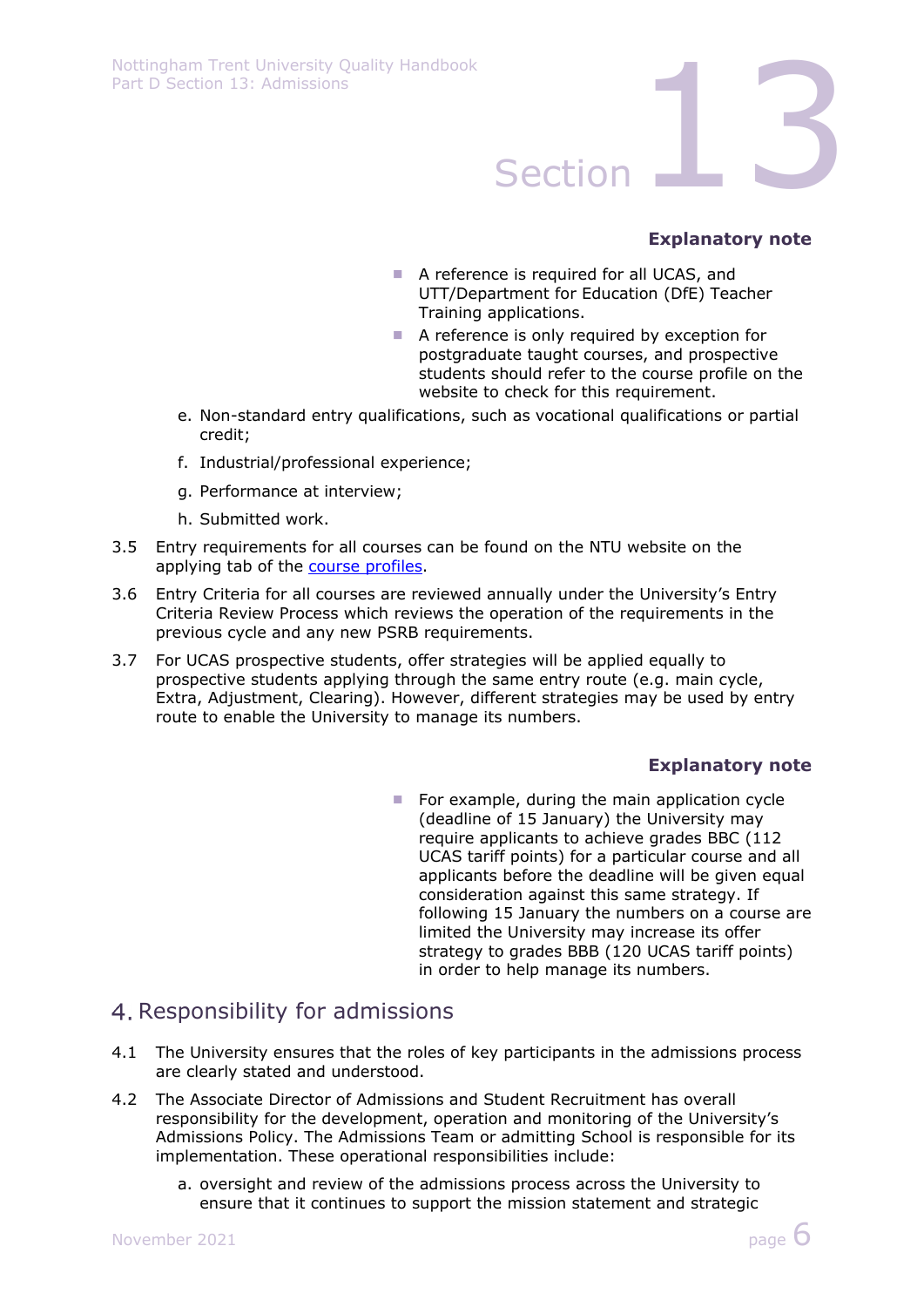

### **Explanatory note**

- A reference is required for all UCAS, and UTT/Department for Education (DfE) Teacher Training applications.
- A reference is only required by exception for postgraduate taught courses, and prospective students should refer to the course profile on the website to check for this requirement.
- e. Non-standard entry qualifications, such as vocational qualifications or partial credit;
- f. Industrial/professional experience;
- g. Performance at interview;
- h. Submitted work.
- 3.5 Entry requirements for all courses can be found on the NTU website on the applying tab of the course profiles.
- 3.6 Entry Criteria for all courses are reviewed annually under the University's Entry Criteria Review Process which reviews the operation of the requirements in the previous cycle and any new PSRB requirements.
- 3.7 For UCAS prospective students, offer strategies will be applied equally to prospective students applying through the same entry route (e.g. main cycle, Extra, Adjustment, Clearing). However, different strategies may be used by entry route to enable the University to manage its numbers.

### **Explanatory note**

 $\blacksquare$  For example, during the main application cycle (deadline of 15 January) the University may require applicants to achieve grades BBC (112 UCAS tariff points) for a particular course and all applicants before the deadline will be given equal consideration against this same strategy. If following 15 January the numbers on a course are limited the University may increase its offer strategy to grades BBB (120 UCAS tariff points) in order to help manage its numbers.

## 4. Responsibility for admissions

- 4.1 The University ensures that the roles of key participants in the admissions process are clearly stated and understood.
- 4.2 The Associate Director of Admissions and Student Recruitment has overall responsibility for the development, operation and monitoring of the University's Admissions Policy. The Admissions Team or admitting School is responsible for its implementation. These operational responsibilities include:
	- a. oversight and review of the admissions process across the University to ensure that it continues to support the mission statement and strategic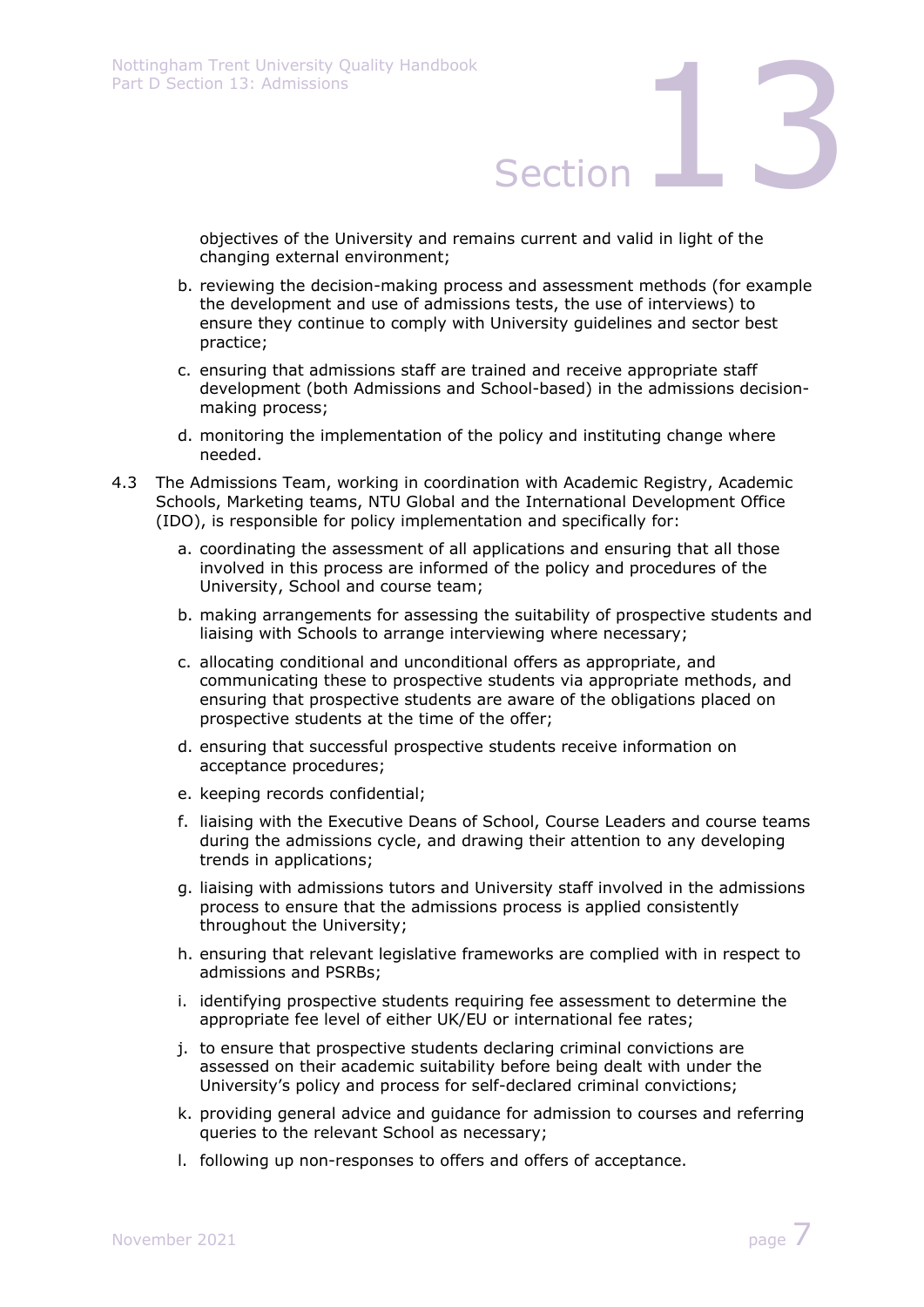objectives of the University and remains current and valid in light of the changing external environment;

- b. reviewing the decision-making process and assessment methods (for example the development and use of admissions tests, the use of interviews) to ensure they continue to comply with University guidelines and sector best practice;
- c. ensuring that admissions staff are trained and receive appropriate staff development (both Admissions and School-based) in the admissions decisionmaking process;
- d. monitoring the implementation of the policy and instituting change where needed.
- 4.3 The Admissions Team, working in coordination with Academic Registry, Academic Schools, Marketing teams, NTU Global and the International Development Office (IDO), is responsible for policy implementation and specifically for:
	- a. coordinating the assessment of all applications and ensuring that all those involved in this process are informed of the policy and procedures of the University, School and course team;
	- b. making arrangements for assessing the suitability of prospective students and liaising with Schools to arrange interviewing where necessary;
	- c. allocating conditional and unconditional offers as appropriate, and communicating these to prospective students via appropriate methods, and ensuring that prospective students are aware of the obligations placed on prospective students at the time of the offer;
	- d. ensuring that successful prospective students receive information on acceptance procedures;
	- e. keeping records confidential;
	- f. liaising with the Executive Deans of School, Course Leaders and course teams during the admissions cycle, and drawing their attention to any developing trends in applications;
	- g. liaising with admissions tutors and University staff involved in the admissions process to ensure that the admissions process is applied consistently throughout the University;
	- h. ensuring that relevant legislative frameworks are complied with in respect to admissions and PSRBs;
	- i. identifying prospective students requiring fee assessment to determine the appropriate fee level of either UK/EU or international fee rates;
	- j. to ensure that prospective students declaring criminal convictions are assessed on their academic suitability before being dealt with under the University's policy and process for self-declared criminal convictions;
	- k. providing general advice and guidance for admission to courses and referring queries to the relevant School as necessary;
	- l. following up non-responses to offers and offers of acceptance.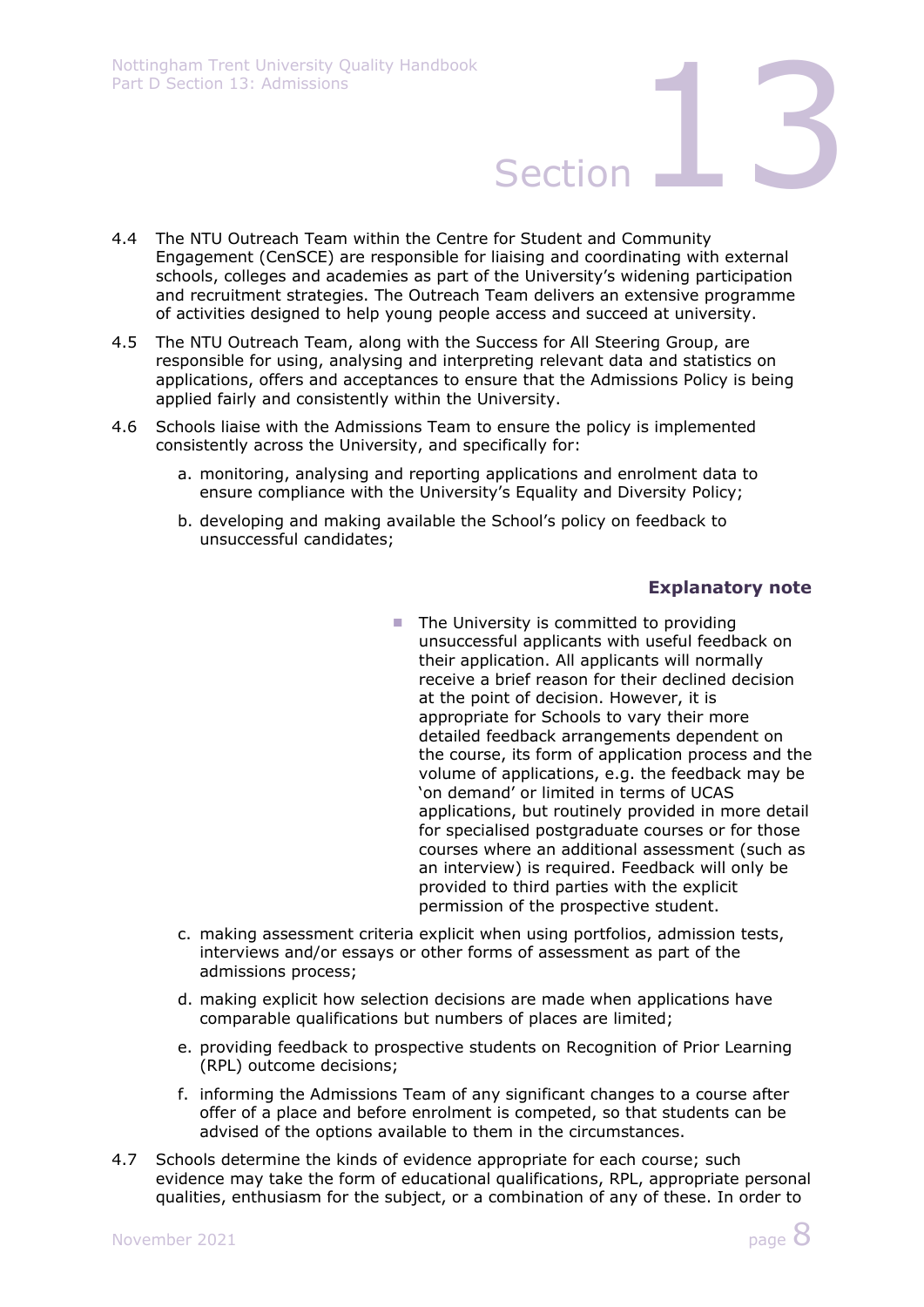- 4.4 The NTU Outreach Team within the Centre for Student and Community Engagement (CenSCE) are responsible for liaising and coordinating with external schools, colleges and academies as part of the University's widening participation and recruitment strategies. The Outreach Team delivers an extensive programme of activities designed to help young people access and succeed at university.
- 4.5 The NTU Outreach Team, along with the Success for All Steering Group, are responsible for using, analysing and interpreting relevant data and statistics on applications, offers and acceptances to ensure that the Admissions Policy is being applied fairly and consistently within the University.
- 4.6 Schools liaise with the Admissions Team to ensure the policy is implemented consistently across the University, and specifically for:
	- a. monitoring, analysing and reporting applications and enrolment data to ensure compliance with the University's Equality and Diversity Policy;
	- b. developing and making available the School's policy on feedback to unsuccessful candidates;

### **Explanatory note**

- $\blacksquare$  The University is committed to providing unsuccessful applicants with useful feedback on their application. All applicants will normally receive a brief reason for their declined decision at the point of decision. However, it is appropriate for Schools to vary their more detailed feedback arrangements dependent on the course, its form of application process and the volume of applications, e.g. the feedback may be 'on demand' or limited in terms of UCAS applications, but routinely provided in more detail for specialised postgraduate courses or for those courses where an additional assessment (such as an interview) is required. Feedback will only be provided to third parties with the explicit permission of the prospective student.
- c. making assessment criteria explicit when using portfolios, admission tests, interviews and/or essays or other forms of assessment as part of the admissions process;
- d. making explicit how selection decisions are made when applications have comparable qualifications but numbers of places are limited;
- e. providing feedback to prospective students on Recognition of Prior Learning (RPL) outcome decisions;
- f. informing the Admissions Team of any significant changes to a course after offer of a place and before enrolment is competed, so that students can be advised of the options available to them in the circumstances.
- 4.7 Schools determine the kinds of evidence appropriate for each course; such evidence may take the form of educational qualifications, RPL, appropriate personal qualities, enthusiasm for the subject, or a combination of any of these. In order to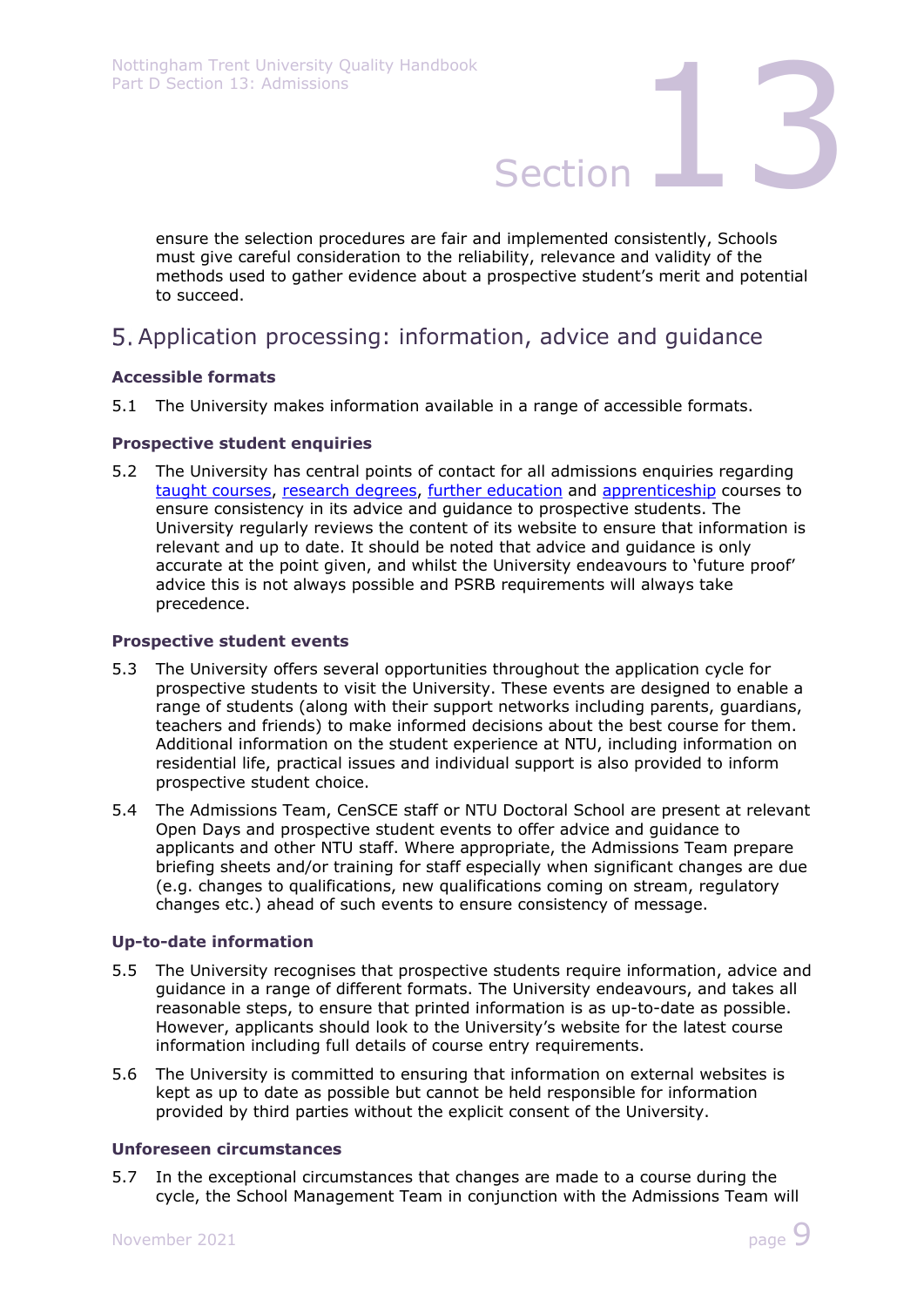ensure the selection procedures are fair and implemented consistently, Schools must give careful consideration to the reliability, relevance and validity of the methods used to gather evidence about a prospective student's merit and potential to succeed.

# Application processing: information, advice and guidance

### **Accessible formats**

5.1 The University makes information available in a range of accessible formats.

### **Prospective student enquiries**

5.2 The University has central points of contact for all admissions enquiries regarding taught courses, research degrees, further education and apprenticeship courses to ensure consistency in its advice and guidance to prospective students. The University regularly reviews the content of its website to ensure that information is relevant and up to date. It should be noted that advice and guidance is only accurate at the point given, and whilst the University endeavours to 'future proof' advice this is not always possible and PSRB requirements will always take precedence.

### **Prospective student events**

- 5.3 The University offers several opportunities throughout the application cycle for prospective students to visit the University. These events are designed to enable a range of students (along with their support networks including parents, guardians, teachers and friends) to make informed decisions about the best course for them. Additional information on the student experience at NTU, including information on residential life, practical issues and individual support is also provided to inform prospective student choice.
- 5.4 The Admissions Team, CenSCE staff or NTU Doctoral School are present at relevant Open Days and prospective student events to offer advice and guidance to applicants and other NTU staff. Where appropriate, the Admissions Team prepare briefing sheets and/or training for staff especially when significant changes are due (e.g. changes to qualifications, new qualifications coming on stream, regulatory changes etc.) ahead of such events to ensure consistency of message.

### **Up-to-date information**

- 5.5 The University recognises that prospective students require information, advice and guidance in a range of different formats. The University endeavours, and takes all reasonable steps, to ensure that printed information is as up-to-date as possible. However, applicants should look to the University's website for the latest course information including full details of course entry requirements.
- 5.6 The University is committed to ensuring that information on external websites is kept as up to date as possible but cannot be held responsible for information provided by third parties without the explicit consent of the University.

### **Unforeseen circumstances**

5.7 In the exceptional circumstances that changes are made to a course during the cycle, the School Management Team in conjunction with the Admissions Team will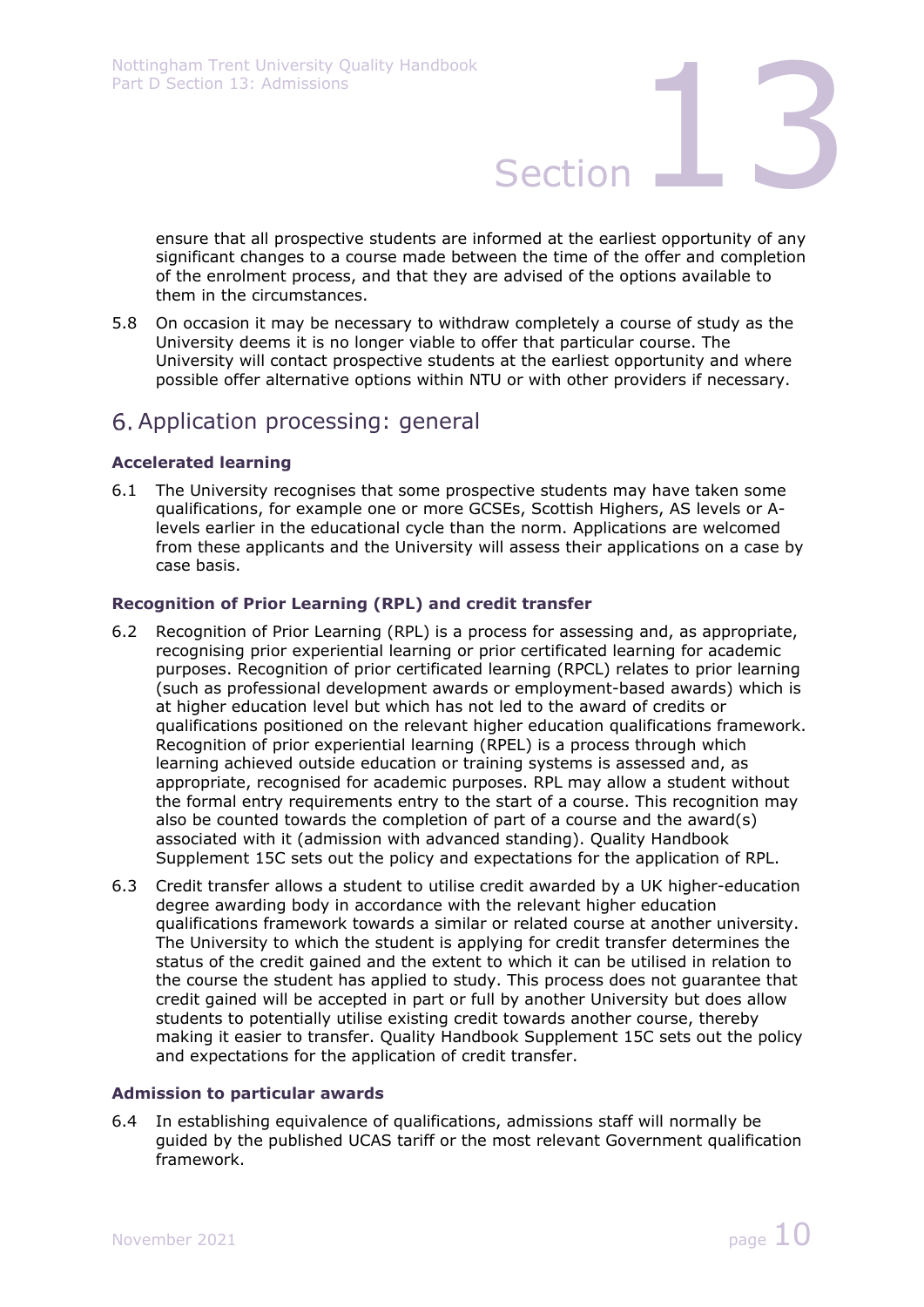ensure that all prospective students are informed at the earliest opportunity of any significant changes to a course made between the time of the offer and completion of the enrolment process, and that they are advised of the options available to them in the circumstances.

5.8 On occasion it may be necessary to withdraw completely a course of study as the University deems it is no longer viable to offer that particular course. The University will contact prospective students at the earliest opportunity and where possible offer alternative options within NTU or with other providers if necessary.

## Application processing: general

### **Accelerated learning**

6.1 The University recognises that some prospective students may have taken some qualifications, for example one or more GCSEs, Scottish Highers, AS levels or Alevels earlier in the educational cycle than the norm. Applications are welcomed from these applicants and the University will assess their applications on a case by case basis.

### **Recognition of Prior Learning (RPL) and credit transfer**

- 6.2 Recognition of Prior Learning (RPL) is a process for assessing and, as appropriate, recognising prior experiential learning or prior certificated learning for academic purposes. Recognition of prior certificated learning (RPCL) relates to prior learning (such as professional development awards or employment-based awards) which is at higher education level but which has not led to the award of credits or qualifications positioned on the relevant higher education qualifications framework. Recognition of prior experiential learning (RPEL) is a process through which learning achieved outside education or training systems is assessed and, as appropriate, recognised for academic purposes. RPL may allow a student without the formal entry requirements entry to the start of a course. This recognition may also be counted towards the completion of part of a course and the award(s) associated with it (admission with advanced standing). Quality Handbook Supplement 15C sets out the policy and expectations for the application of RPL.
- 6.3 Credit transfer allows a student to utilise credit awarded by a UK higher-education degree awarding body in accordance with the relevant higher education qualifications framework towards a similar or related course at another university. The University to which the student is applying for credit transfer determines the status of the credit gained and the extent to which it can be utilised in relation to the course the student has applied to study. This process does not guarantee that credit gained will be accepted in part or full by another University but does allow students to potentially utilise existing credit towards another course, thereby making it easier to transfer. Quality Handbook Supplement 15C sets out the policy and expectations for the application of credit transfer.

### **Admission to particular awards**

6.4 In establishing equivalence of qualifications, admissions staff will normally be guided by the published UCAS tariff or the most relevant Government qualification framework.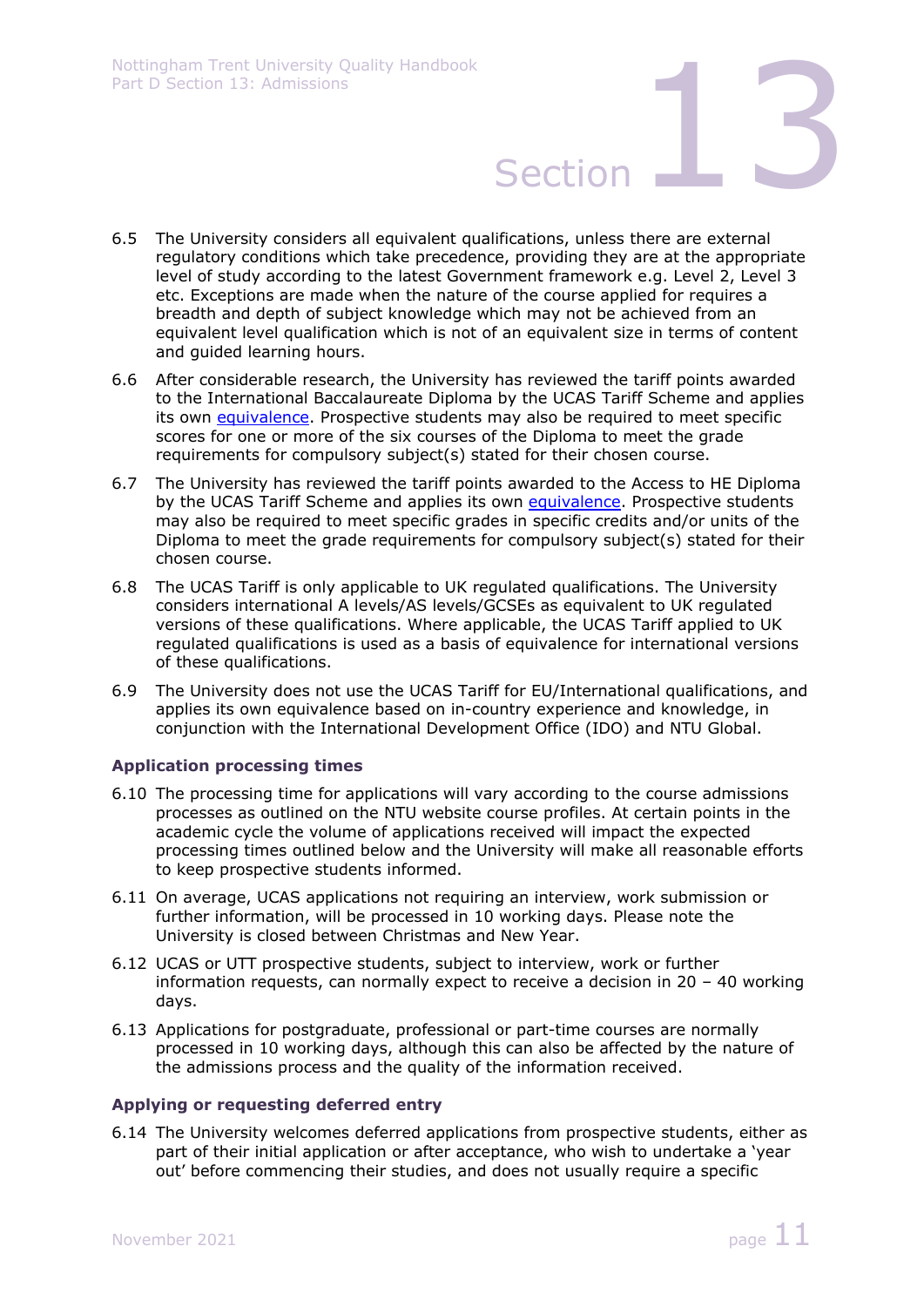- 6.5 The University considers all equivalent qualifications, unless there are external regulatory conditions which take precedence, providing they are at the appropriate level of study according to the latest Government framework e.g. Level 2, Level 3 etc. Exceptions are made when the nature of the course applied for requires a breadth and depth of subject knowledge which may not be achieved from an equivalent level qualification which is not of an equivalent size in terms of content and guided learning hours.
- 6.6 After considerable research, the University has reviewed the tariff points awarded to the International Baccalaureate Diploma by the UCAS Tariff Scheme and applies its own equivalence. Prospective students may also be required to meet specific scores for one or more of the six courses of the Diploma to meet the grade requirements for compulsory subject(s) stated for their chosen course.
- 6.7 The University has reviewed the tariff points awarded to the Access to HE Diploma by the UCAS Tariff Scheme and applies its own equivalence. Prospective students may also be required to meet specific grades in specific credits and/or units of the Diploma to meet the grade requirements for compulsory subject(s) stated for their chosen course.
- 6.8 The UCAS Tariff is only applicable to UK regulated qualifications. The University considers international A levels/AS levels/GCSEs as equivalent to UK regulated versions of these qualifications. Where applicable, the UCAS Tariff applied to UK regulated qualifications is used as a basis of equivalence for international versions of these qualifications.
- 6.9 The University does not use the UCAS Tariff for EU/International qualifications, and applies its own equivalence based on in-country experience and knowledge, in conjunction with the International Development Office (IDO) and NTU Global.

### **Application processing times**

- 6.10 The processing time for applications will vary according to the course admissions processes as outlined on the NTU website course profiles. At certain points in the academic cycle the volume of applications received will impact the expected processing times outlined below and the University will make all reasonable efforts to keep prospective students informed.
- 6.11 On average, UCAS applications not requiring an interview, work submission or further information, will be processed in 10 working days. Please note the University is closed between Christmas and New Year.
- 6.12 UCAS or UTT prospective students, subject to interview, work or further information requests, can normally expect to receive a decision in 20 – 40 working days.
- 6.13 Applications for postgraduate, professional or part-time courses are normally processed in 10 working days, although this can also be affected by the nature of the admissions process and the quality of the information received.

### **Applying or requesting deferred entry**

6.14 The University welcomes deferred applications from prospective students, either as part of their initial application or after acceptance, who wish to undertake a 'year out' before commencing their studies, and does not usually require a specific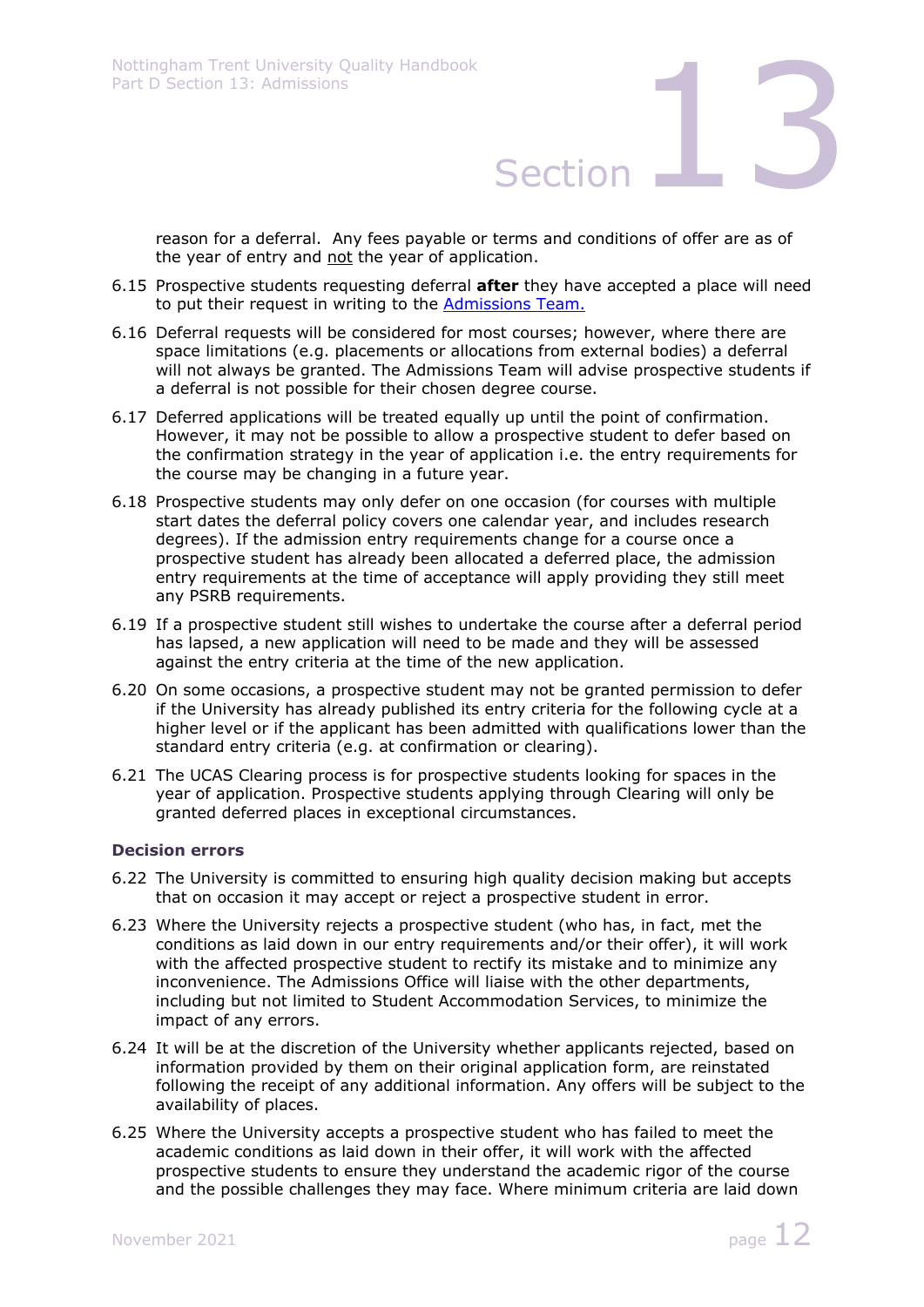reason for a deferral. Any fees payable or terms and conditions of offer are as of the year of entry and not the year of application.

- 6.15 Prospective students requesting deferral **after** they have accepted a place will need to put their request in writing to the Admissions Team.
- 6.16 Deferral requests will be considered for most courses; however, where there are space limitations (e.g. placements or allocations from external bodies) a deferral will not always be granted. The Admissions Team will advise prospective students if a deferral is not possible for their chosen degree course.
- 6.17 Deferred applications will be treated equally up until the point of confirmation. However, it may not be possible to allow a prospective student to defer based on the confirmation strategy in the year of application i.e. the entry requirements for the course may be changing in a future year.
- 6.18 Prospective students may only defer on one occasion (for courses with multiple start dates the deferral policy covers one calendar year, and includes research degrees). If the admission entry requirements change for a course once a prospective student has already been allocated a deferred place, the admission entry requirements at the time of acceptance will apply providing they still meet any PSRB requirements.
- 6.19 If a prospective student still wishes to undertake the course after a deferral period has lapsed, a new application will need to be made and they will be assessed against the entry criteria at the time of the new application.
- 6.20 On some occasions, a prospective student may not be granted permission to defer if the University has already published its entry criteria for the following cycle at a higher level or if the applicant has been admitted with qualifications lower than the standard entry criteria (e.g. at confirmation or clearing).
- 6.21 The UCAS Clearing process is for prospective students looking for spaces in the year of application. Prospective students applying through Clearing will only be granted deferred places in exceptional circumstances.

### **Decision errors**

- 6.22 The University is committed to ensuring high quality decision making but accepts that on occasion it may accept or reject a prospective student in error.
- 6.23 Where the University rejects a prospective student (who has, in fact, met the conditions as laid down in our entry requirements and/or their offer), it will work with the affected prospective student to rectify its mistake and to minimize any inconvenience. The Admissions Office will liaise with the other departments, including but not limited to Student Accommodation Services, to minimize the impact of any errors.
- 6.24 It will be at the discretion of the University whether applicants rejected, based on information provided by them on their original application form, are reinstated following the receipt of any additional information. Any offers will be subject to the availability of places.
- 6.25 Where the University accepts a prospective student who has failed to meet the academic conditions as laid down in their offer, it will work with the affected prospective students to ensure they understand the academic rigor of the course and the possible challenges they may face. Where minimum criteria are laid down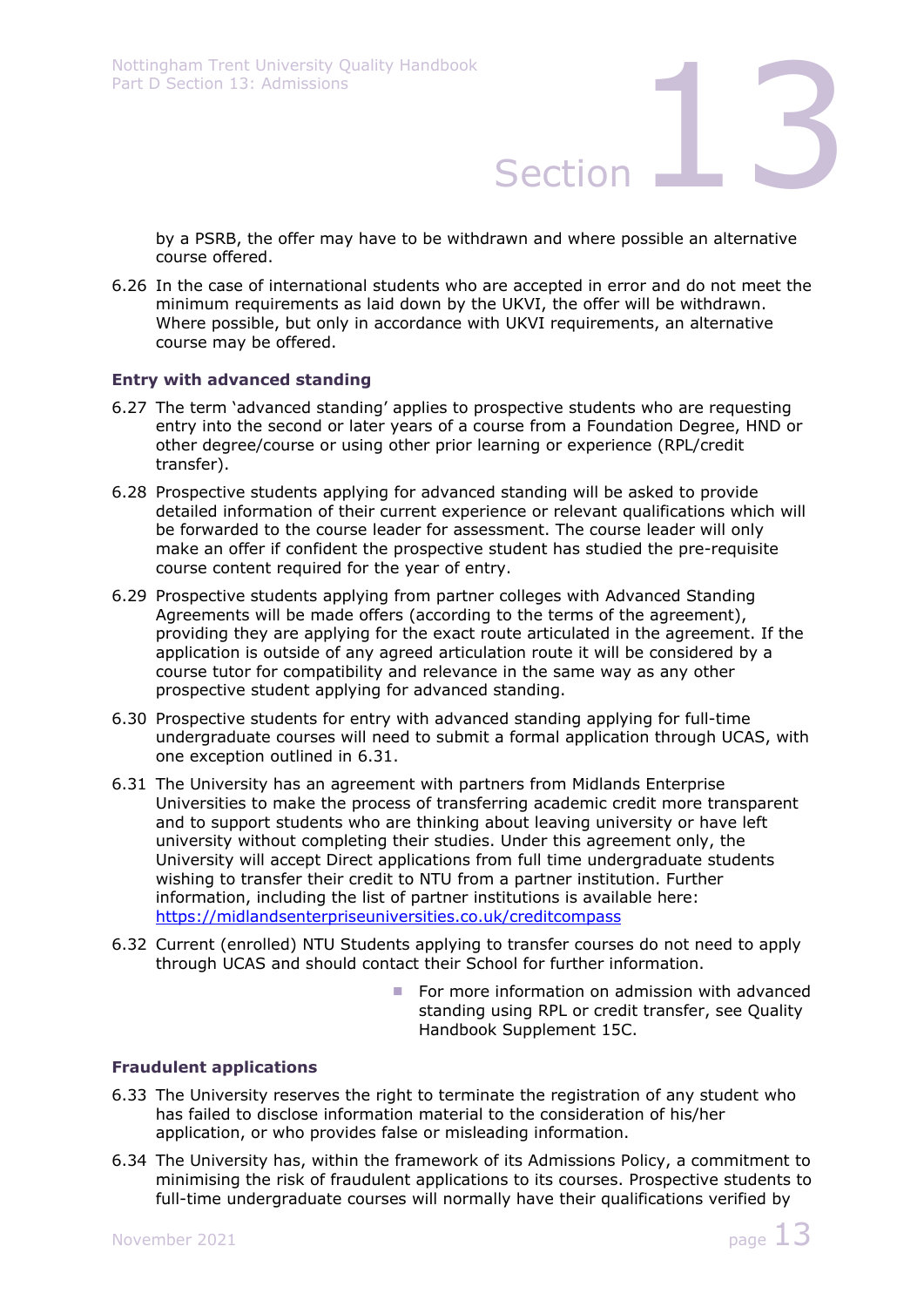by a PSRB, the offer may have to be withdrawn and where possible an alternative course offered.

6.26 In the case of international students who are accepted in error and do not meet the minimum requirements as laid down by the UKVI, the offer will be withdrawn. Where possible, but only in accordance with UKVI requirements, an alternative course may be offered.

### **Entry with advanced standing**

- 6.27 The term 'advanced standing' applies to prospective students who are requesting entry into the second or later years of a course from a Foundation Degree, HND or other degree/course or using other prior learning or experience (RPL/credit transfer).
- 6.28 Prospective students applying for advanced standing will be asked to provide detailed information of their current experience or relevant qualifications which will be forwarded to the course leader for assessment. The course leader will only make an offer if confident the prospective student has studied the pre-requisite course content required for the year of entry.
- 6.29 Prospective students applying from partner colleges with Advanced Standing Agreements will be made offers (according to the terms of the agreement), providing they are applying for the exact route articulated in the agreement. If the application is outside of any agreed articulation route it will be considered by a course tutor for compatibility and relevance in the same way as any other prospective student applying for advanced standing.
- 6.30 Prospective students for entry with advanced standing applying for full-time undergraduate courses will need to submit a formal application through UCAS, with one exception outlined in 6.31.
- 6.31 The University has an agreement with partners from Midlands Enterprise Universities to make the process of transferring academic credit more transparent and to support students who are thinking about leaving university or have left university without completing their studies. Under this agreement only, the University will accept Direct applications from full time undergraduate students wishing to transfer their credit to NTU from a partner institution. Further information, including the list of partner institutions is available here: https://midlandsenterpriseuniversities.co.uk/creditcompass
- 6.32 Current (enrolled) NTU Students applying to transfer courses do not need to apply through UCAS and should contact their School for further information.
	- For more information on admission with advanced standing using RPL or credit transfer, see Quality Handbook Supplement 15C.

### **Fraudulent applications**

- 6.33 The University reserves the right to terminate the registration of any student who has failed to disclose information material to the consideration of his/her application, or who provides false or misleading information.
- 6.34 The University has, within the framework of its Admissions Policy, a commitment to minimising the risk of fraudulent applications to its courses. Prospective students to full-time undergraduate courses will normally have their qualifications verified by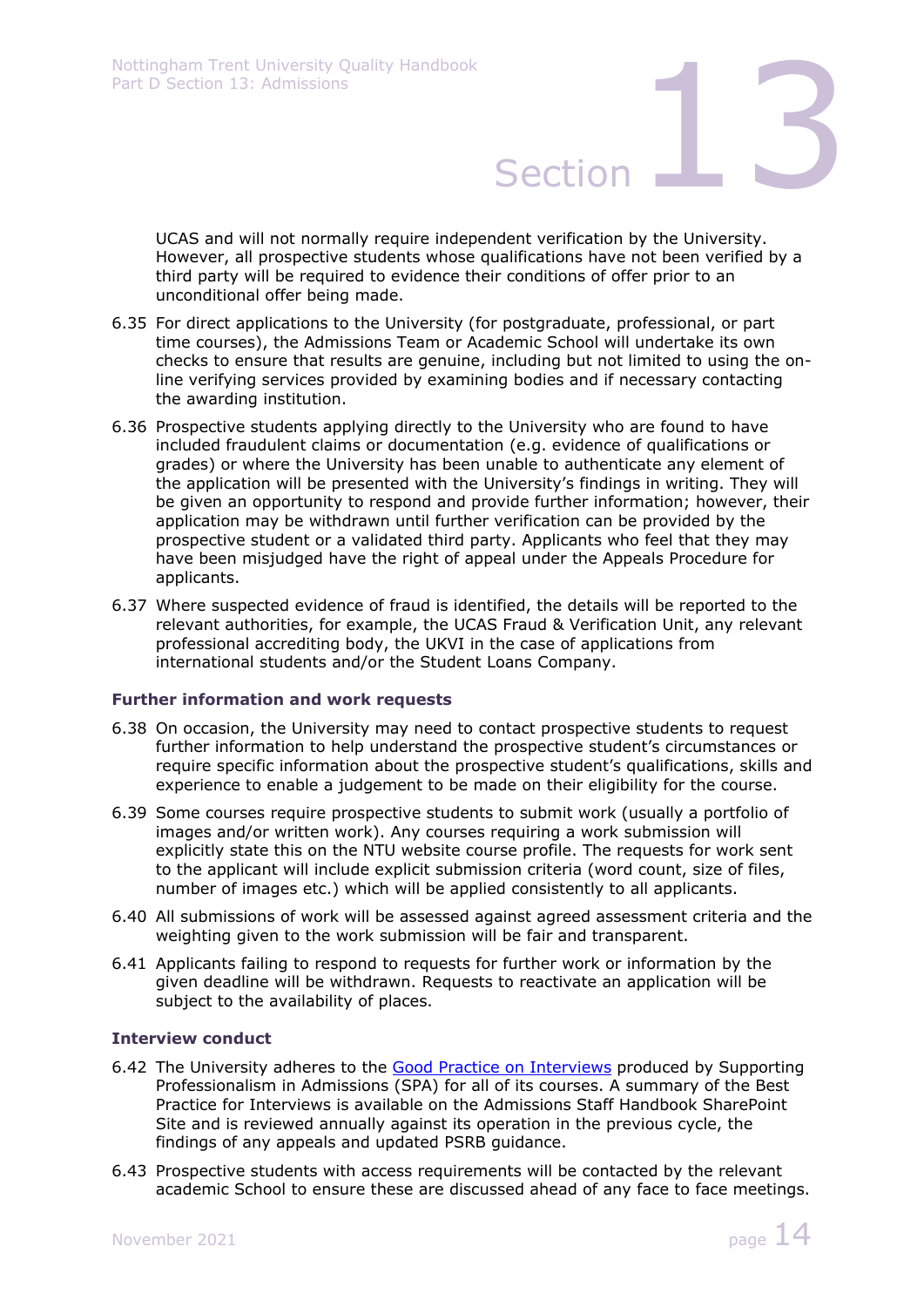UCAS and will not normally require independent verification by the University. However, all prospective students whose qualifications have not been verified by a third party will be required to evidence their conditions of offer prior to an unconditional offer being made.

- 6.35 For direct applications to the University (for postgraduate, professional, or part time courses), the Admissions Team or Academic School will undertake its own checks to ensure that results are genuine, including but not limited to using the online verifying services provided by examining bodies and if necessary contacting the awarding institution.
- 6.36 Prospective students applying directly to the University who are found to have included fraudulent claims or documentation (e.g. evidence of qualifications or grades) or where the University has been unable to authenticate any element of the application will be presented with the University's findings in writing. They will be given an opportunity to respond and provide further information; however, their application may be withdrawn until further verification can be provided by the prospective student or a validated third party. Applicants who feel that they may have been misjudged have the right of appeal under the Appeals Procedure for applicants.
- 6.37 Where suspected evidence of fraud is identified, the details will be reported to the relevant authorities, for example, the UCAS Fraud & Verification Unit, any relevant professional accrediting body, the UKVI in the case of applications from international students and/or the Student Loans Company.

### **Further information and work requests**

- 6.38 On occasion, the University may need to contact prospective students to request further information to help understand the prospective student's circumstances or require specific information about the prospective student's qualifications, skills and experience to enable a judgement to be made on their eligibility for the course.
- 6.39 Some courses require prospective students to submit work (usually a portfolio of images and/or written work). Any courses requiring a work submission will explicitly state this on the NTU website course profile. The requests for work sent to the applicant will include explicit submission criteria (word count, size of files, number of images etc.) which will be applied consistently to all applicants.
- 6.40 All submissions of work will be assessed against agreed assessment criteria and the weighting given to the work submission will be fair and transparent.
- 6.41 Applicants failing to respond to requests for further work or information by the given deadline will be withdrawn. Requests to reactivate an application will be subject to the availability of places.

### **Interview conduct**

- 6.42 The University adheres to the Good Practice on Interviews produced by Supporting Professionalism in Admissions (SPA) for all of its courses. A summary of the Best Practice for Interviews is available on the Admissions Staff Handbook SharePoint Site and is reviewed annually against its operation in the previous cycle, the findings of any appeals and updated PSRB guidance.
- 6.43 Prospective students with access requirements will be contacted by the relevant academic School to ensure these are discussed ahead of any face to face meetings.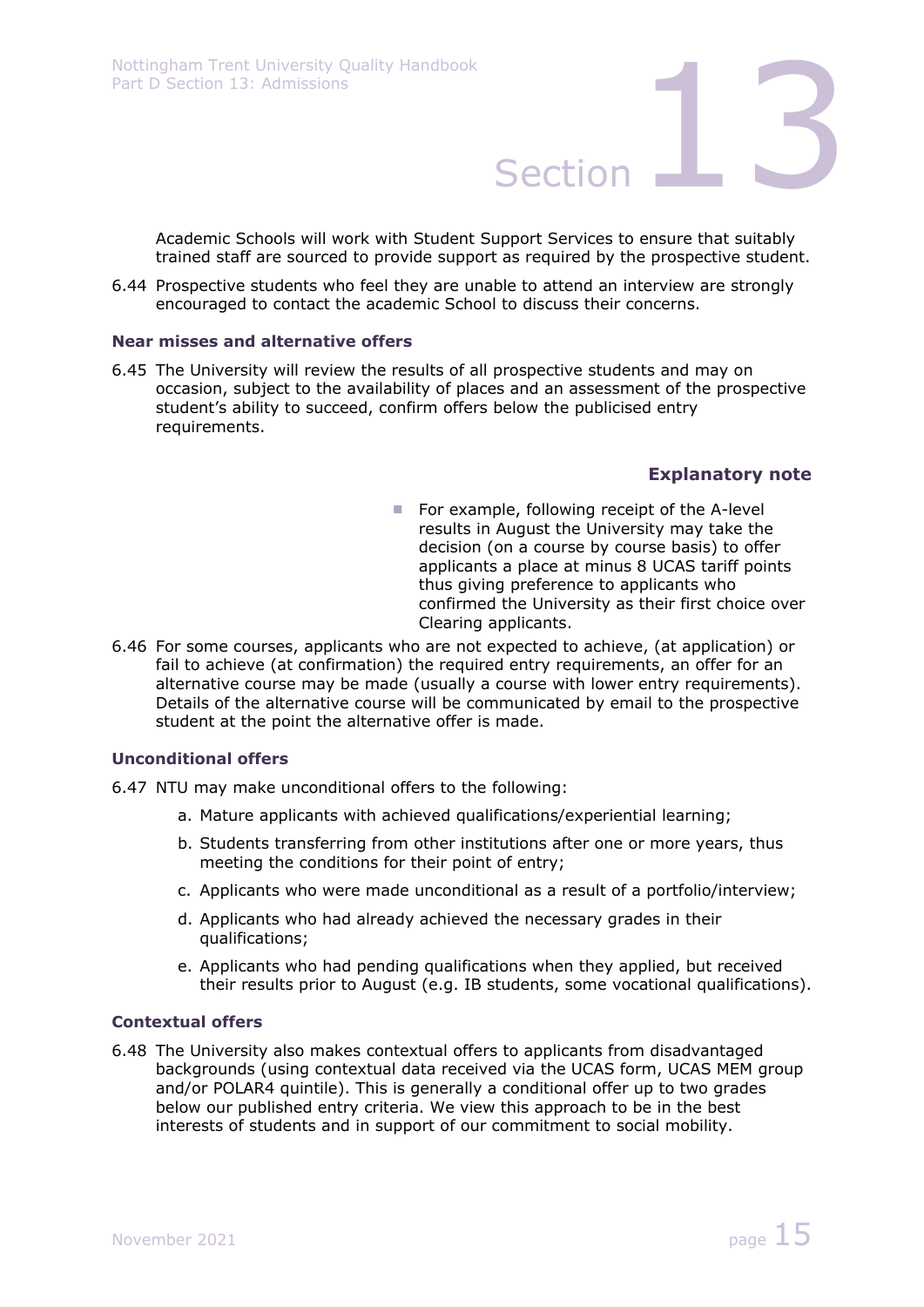Academic Schools will work with Student Support Services to ensure that suitably trained staff are sourced to provide support as required by the prospective student.

6.44 Prospective students who feel they are unable to attend an interview are strongly encouraged to contact the academic School to discuss their concerns.

### **Near misses and alternative offers**

6.45 The University will review the results of all prospective students and may on occasion, subject to the availability of places and an assessment of the prospective student's ability to succeed, confirm offers below the publicised entry requirements.

### **Explanatory note**

- $\blacksquare$  For example, following receipt of the A-level results in August the University may take the decision (on a course by course basis) to offer applicants a place at minus 8 UCAS tariff points thus giving preference to applicants who confirmed the University as their first choice over Clearing applicants.
- 6.46 For some courses, applicants who are not expected to achieve, (at application) or fail to achieve (at confirmation) the required entry requirements, an offer for an alternative course may be made (usually a course with lower entry requirements). Details of the alternative course will be communicated by email to the prospective student at the point the alternative offer is made.

### **Unconditional offers**

- 6.47 NTU may make unconditional offers to the following:
	- a. Mature applicants with achieved qualifications/experiential learning;
	- b. Students transferring from other institutions after one or more years, thus meeting the conditions for their point of entry;
	- c. Applicants who were made unconditional as a result of a portfolio/interview;
	- d. Applicants who had already achieved the necessary grades in their qualifications;
	- e. Applicants who had pending qualifications when they applied, but received their results prior to August (e.g. IB students, some vocational qualifications).

### **Contextual offers**

6.48 The University also makes contextual offers to applicants from disadvantaged backgrounds (using contextual data received via the UCAS form, UCAS MEM group and/or POLAR4 quintile). This is generally a conditional offer up to two grades below our published entry criteria. We view this approach to be in the best interests of students and in support of our commitment to social mobility.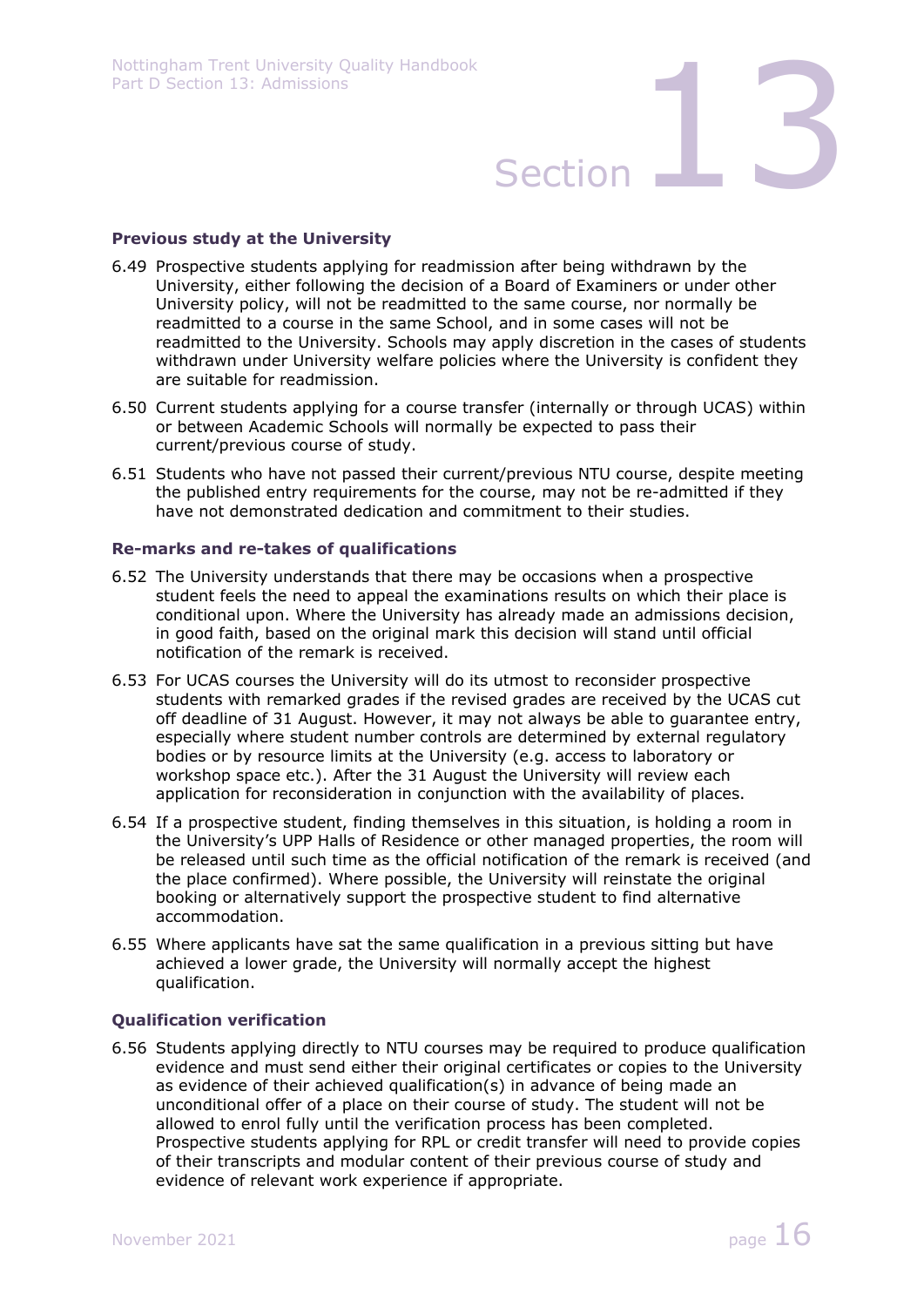### **Previous study at the University**

- 6.49 Prospective students applying for readmission after being withdrawn by the University, either following the decision of a Board of Examiners or under other University policy, will not be readmitted to the same course, nor normally be readmitted to a course in the same School, and in some cases will not be readmitted to the University. Schools may apply discretion in the cases of students withdrawn under University welfare policies where the University is confident they are suitable for readmission.
- 6.50 Current students applying for a course transfer (internally or through UCAS) within or between Academic Schools will normally be expected to pass their current/previous course of study.
- 6.51 Students who have not passed their current/previous NTU course, despite meeting the published entry requirements for the course, may not be re-admitted if they have not demonstrated dedication and commitment to their studies.

### **Re-marks and re-takes of qualifications**

- 6.52 The University understands that there may be occasions when a prospective student feels the need to appeal the examinations results on which their place is conditional upon. Where the University has already made an admissions decision, in good faith, based on the original mark this decision will stand until official notification of the remark is received.
- 6.53 For UCAS courses the University will do its utmost to reconsider prospective students with remarked grades if the revised grades are received by the UCAS cut off deadline of 31 August. However, it may not always be able to guarantee entry, especially where student number controls are determined by external regulatory bodies or by resource limits at the University (e.g. access to laboratory or workshop space etc.). After the 31 August the University will review each application for reconsideration in conjunction with the availability of places.
- 6.54 If a prospective student, finding themselves in this situation, is holding a room in the University's UPP Halls of Residence or other managed properties, the room will be released until such time as the official notification of the remark is received (and the place confirmed). Where possible, the University will reinstate the original booking or alternatively support the prospective student to find alternative accommodation.
- 6.55 Where applicants have sat the same qualification in a previous sitting but have achieved a lower grade, the University will normally accept the highest qualification.

### **Qualification verification**

6.56 Students applying directly to NTU courses may be required to produce qualification evidence and must send either their original certificates or copies to the University as evidence of their achieved qualification(s) in advance of being made an unconditional offer of a place on their course of study. The student will not be allowed to enrol fully until the verification process has been completed. Prospective students applying for RPL or credit transfer will need to provide copies of their transcripts and modular content of their previous course of study and evidence of relevant work experience if appropriate.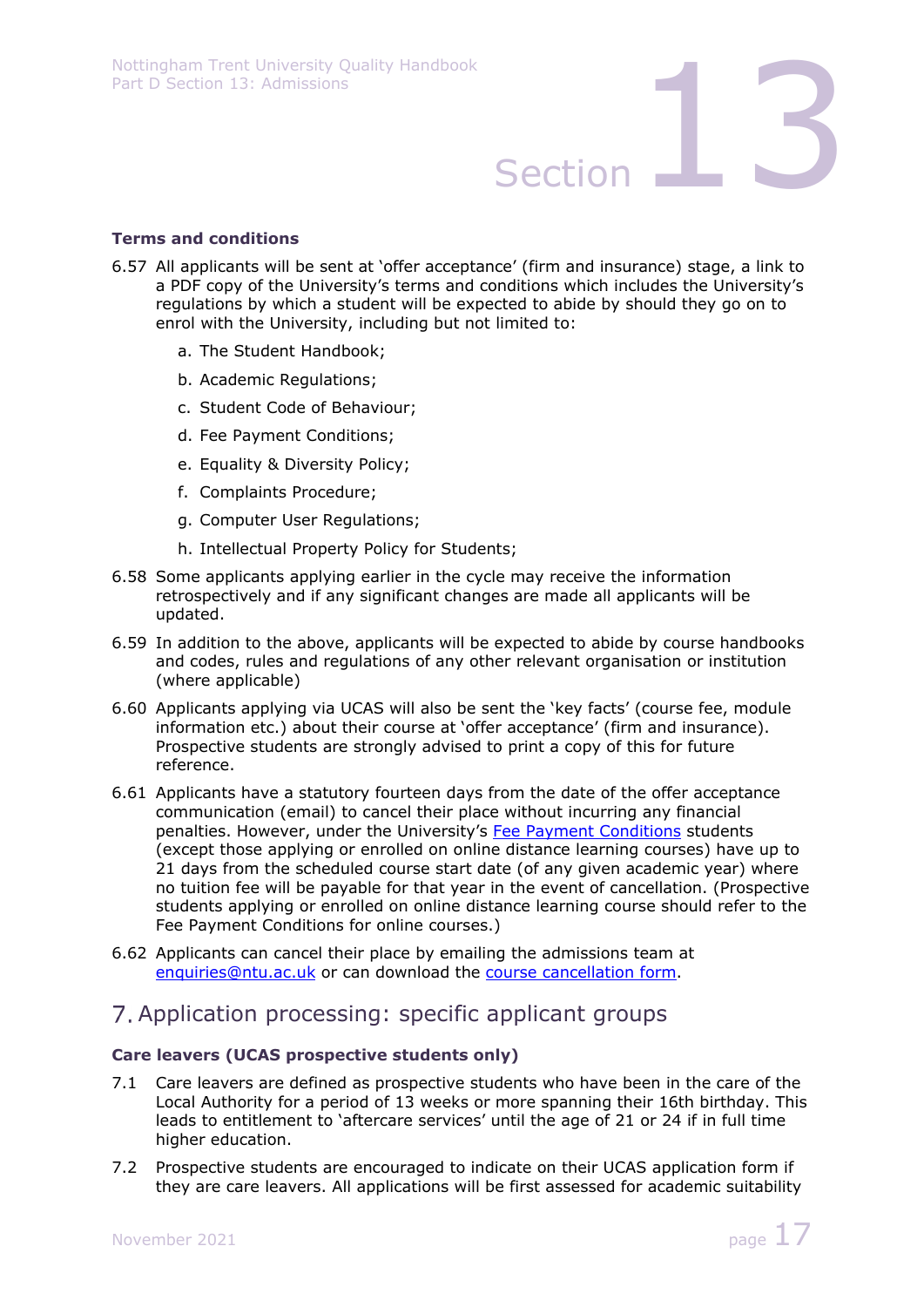### **Terms and conditions**

- 6.57 All applicants will be sent at 'offer acceptance' (firm and insurance) stage, a link to a PDF copy of the University's terms and conditions which includes the University's regulations by which a student will be expected to abide by should they go on to enrol with the University, including but not limited to:
	- a. The Student Handbook;
	- b. Academic Regulations;
	- c. Student Code of Behaviour;
	- d. Fee Payment Conditions;
	- e. Equality & Diversity Policy;
	- f. Complaints Procedure;
	- g. Computer User Regulations;
	- h. Intellectual Property Policy for Students;
- 6.58 Some applicants applying earlier in the cycle may receive the information retrospectively and if any significant changes are made all applicants will be updated.
- 6.59 In addition to the above, applicants will be expected to abide by course handbooks and codes, rules and regulations of any other relevant organisation or institution (where applicable)
- 6.60 Applicants applying via UCAS will also be sent the 'key facts' (course fee, module information etc.) about their course at 'offer acceptance' (firm and insurance). Prospective students are strongly advised to print a copy of this for future reference.
- 6.61 Applicants have a statutory fourteen days from the date of the offer acceptance communication (email) to cancel their place without incurring any financial penalties. However, under the University's Fee Payment Conditions students (except those applying or enrolled on online distance learning courses) have up to 21 days from the scheduled course start date (of any given academic year) where no tuition fee will be payable for that year in the event of cancellation. (Prospective students applying or enrolled on online distance learning course should refer to the Fee Payment Conditions for online courses.)
- 6.62 Applicants can cancel their place by emailing the admissions team at enquiries@ntu.ac.uk or can download the course cancellation form.

## Application processing: specific applicant groups

### **Care leavers (UCAS prospective students only)**

- 7.1 Care leavers are defined as prospective students who have been in the care of the Local Authority for a period of 13 weeks or more spanning their 16th birthday. This leads to entitlement to 'aftercare services' until the age of 21 or 24 if in full time higher education.
- 7.2 Prospective students are encouraged to indicate on their UCAS application form if they are care leavers. All applications will be first assessed for academic suitability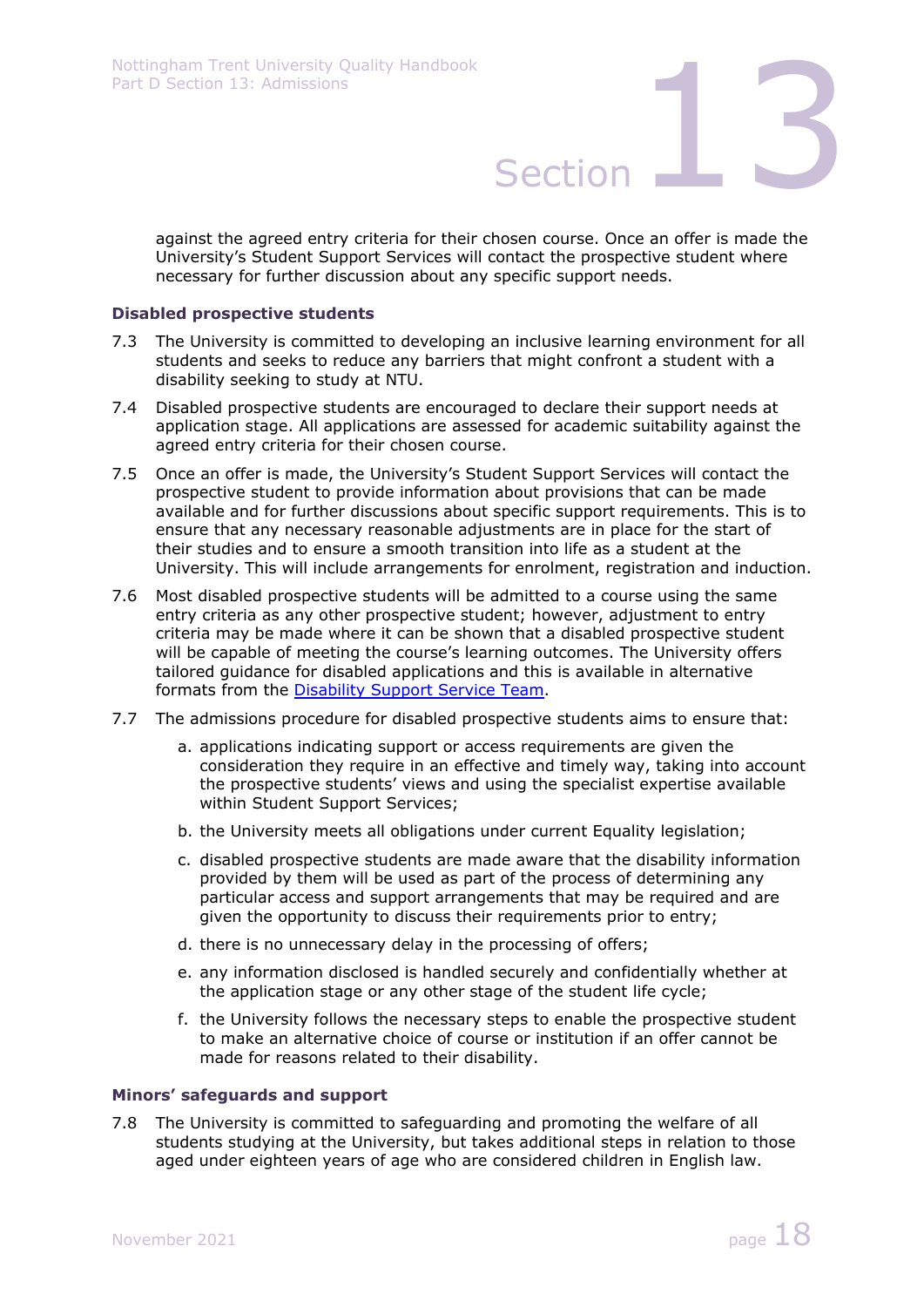against the agreed entry criteria for their chosen course. Once an offer is made the University's Student Support Services will contact the prospective student where necessary for further discussion about any specific support needs.

### **Disabled prospective students**

- 7.3 The University is committed to developing an inclusive learning environment for all students and seeks to reduce any barriers that might confront a student with a disability seeking to study at NTU.
- 7.4 Disabled prospective students are encouraged to declare their support needs at application stage. All applications are assessed for academic suitability against the agreed entry criteria for their chosen course.
- 7.5 Once an offer is made, the University's Student Support Services will contact the prospective student to provide information about provisions that can be made available and for further discussions about specific support requirements. This is to ensure that any necessary reasonable adjustments are in place for the start of their studies and to ensure a smooth transition into life as a student at the University. This will include arrangements for enrolment, registration and induction.
- 7.6 Most disabled prospective students will be admitted to a course using the same entry criteria as any other prospective student; however, adjustment to entry criteria may be made where it can be shown that a disabled prospective student will be capable of meeting the course's learning outcomes. The University offers tailored guidance for disabled applications and this is available in alternative formats from the Disability Support Service Team.
- 7.7 The admissions procedure for disabled prospective students aims to ensure that:
	- a. applications indicating support or access requirements are given the consideration they require in an effective and timely way, taking into account the prospective students' views and using the specialist expertise available within Student Support Services;
	- b. the University meets all obligations under current Equality legislation;
	- c. disabled prospective students are made aware that the disability information provided by them will be used as part of the process of determining any particular access and support arrangements that may be required and are given the opportunity to discuss their requirements prior to entry;
	- d. there is no unnecessary delay in the processing of offers;
	- e. any information disclosed is handled securely and confidentially whether at the application stage or any other stage of the student life cycle;
	- f. the University follows the necessary steps to enable the prospective student to make an alternative choice of course or institution if an offer cannot be made for reasons related to their disability.

### **Minors' safeguards and support**

7.8 The University is committed to safeguarding and promoting the welfare of all students studying at the University, but takes additional steps in relation to those aged under eighteen years of age who are considered children in English law.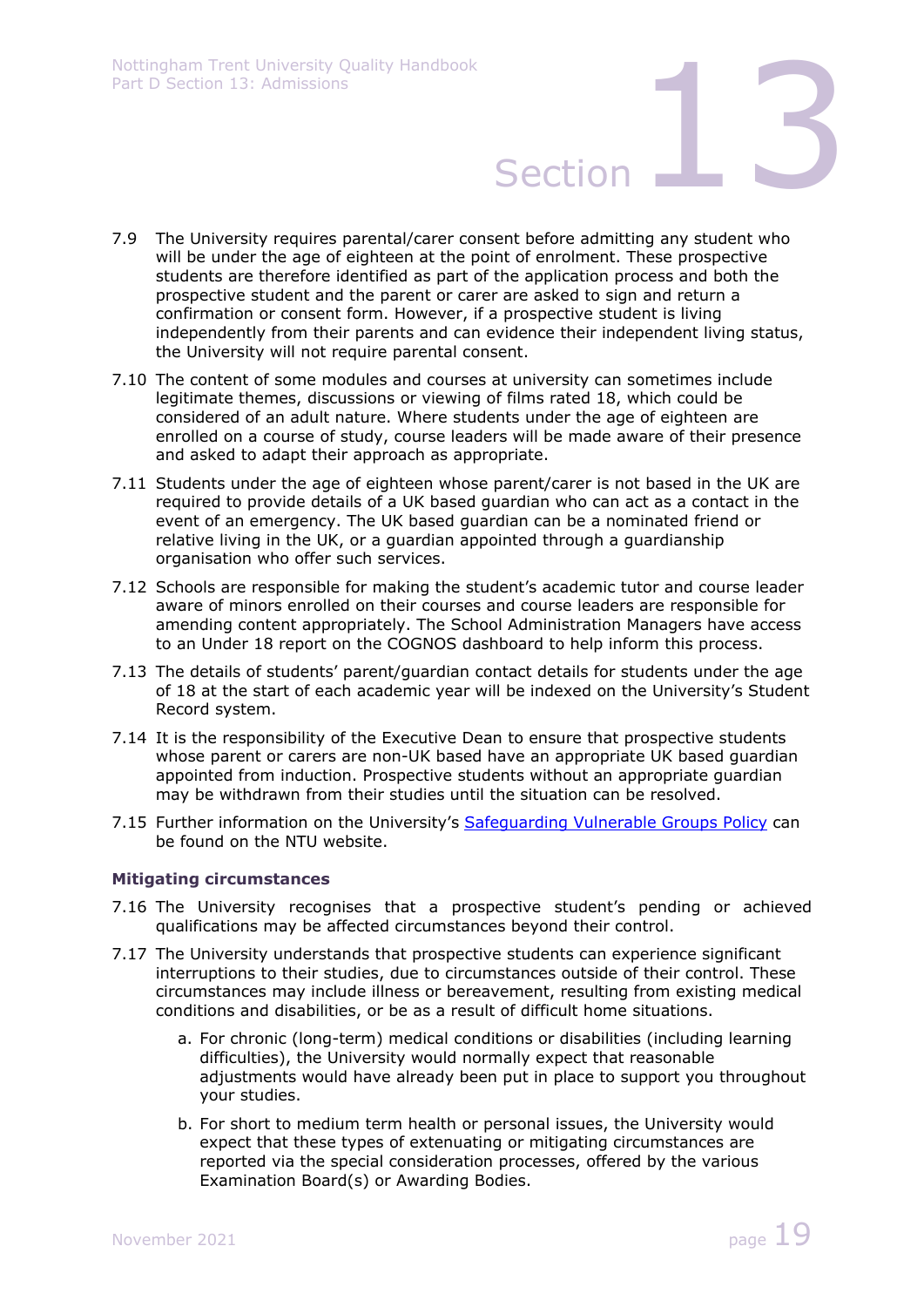- 7.9 The University requires parental/carer consent before admitting any student who will be under the age of eighteen at the point of enrolment. These prospective students are therefore identified as part of the application process and both the prospective student and the parent or carer are asked to sign and return a confirmation or consent form. However, if a prospective student is living independently from their parents and can evidence their independent living status, the University will not require parental consent.
- 7.10 The content of some modules and courses at university can sometimes include legitimate themes, discussions or viewing of films rated 18, which could be considered of an adult nature. Where students under the age of eighteen are enrolled on a course of study, course leaders will be made aware of their presence and asked to adapt their approach as appropriate.
- 7.11 Students under the age of eighteen whose parent/carer is not based in the UK are required to provide details of a UK based guardian who can act as a contact in the event of an emergency. The UK based guardian can be a nominated friend or relative living in the UK, or a guardian appointed through a guardianship organisation who offer such services.
- 7.12 Schools are responsible for making the student's academic tutor and course leader aware of minors enrolled on their courses and course leaders are responsible for amending content appropriately. The School Administration Managers have access to an Under 18 report on the COGNOS dashboard to help inform this process.
- 7.13 The details of students' parent/guardian contact details for students under the age of 18 at the start of each academic year will be indexed on the University's Student Record system.
- 7.14 It is the responsibility of the Executive Dean to ensure that prospective students whose parent or carers are non-UK based have an appropriate UK based guardian appointed from induction. Prospective students without an appropriate guardian may be withdrawn from their studies until the situation can be resolved.
- 7.15 Further information on the University's Safequarding Vulnerable Groups Policy can be found on the NTU website.

### **Mitigating circumstances**

- 7.16 The University recognises that a prospective student's pending or achieved qualifications may be affected circumstances beyond their control.
- 7.17 The University understands that prospective students can experience significant interruptions to their studies, due to circumstances outside of their control. These circumstances may include illness or bereavement, resulting from existing medical conditions and disabilities, or be as a result of difficult home situations.
	- a. For chronic (long-term) medical conditions or disabilities (including learning difficulties), the University would normally expect that reasonable adjustments would have already been put in place to support you throughout your studies.
	- b. For short to medium term health or personal issues, the University would expect that these types of extenuating or mitigating circumstances are reported via the special consideration processes, offered by the various Examination Board(s) or Awarding Bodies.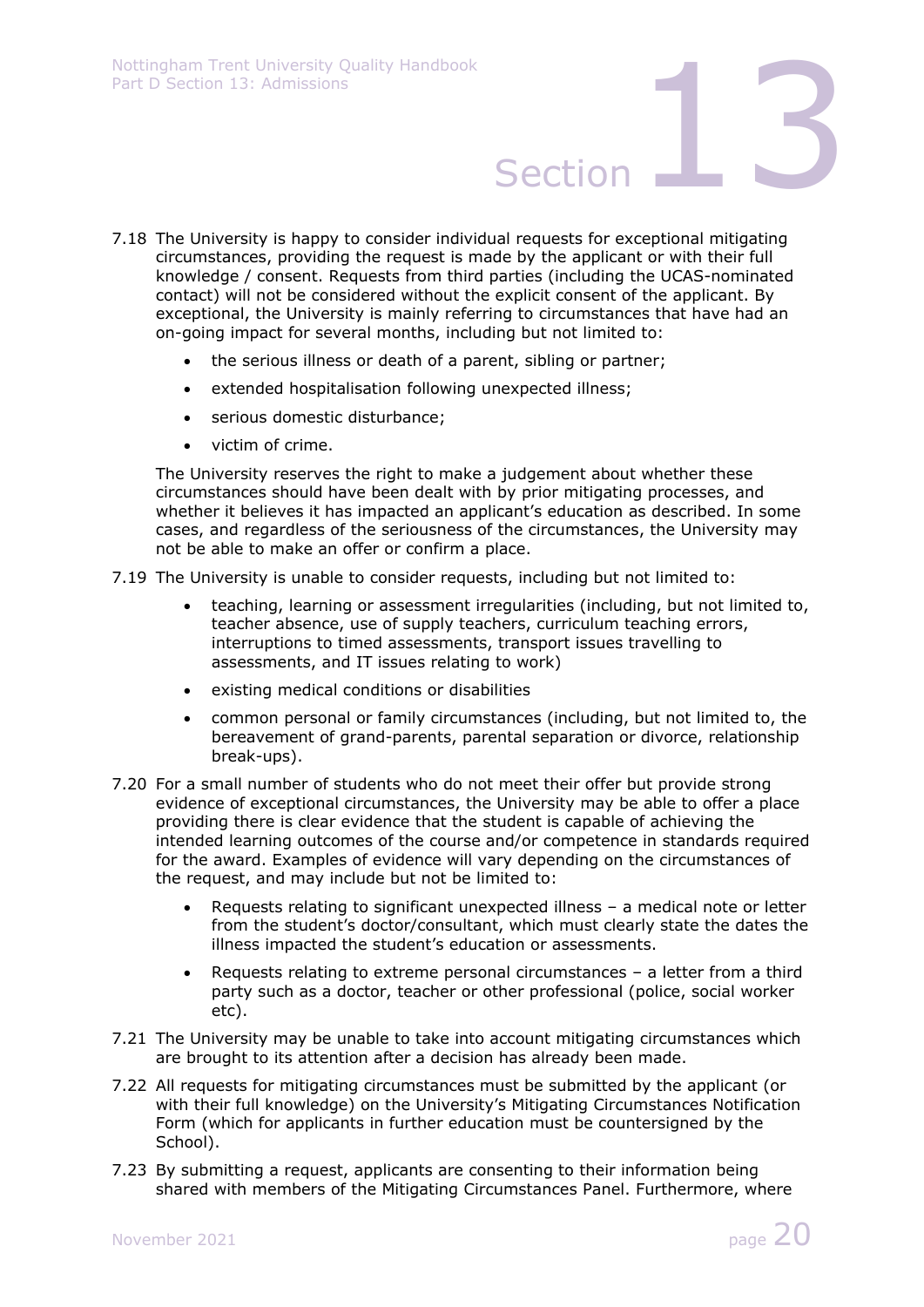- 7.18 The University is happy to consider individual requests for exceptional mitigating circumstances, providing the request is made by the applicant or with their full knowledge / consent. Requests from third parties (including the UCAS-nominated contact) will not be considered without the explicit consent of the applicant. By exceptional, the University is mainly referring to circumstances that have had an on-going impact for several months, including but not limited to:
	- the serious illness or death of a parent, sibling or partner;
	- extended hospitalisation following unexpected illness;
	- serious domestic disturbance:
	- victim of crime.

The University reserves the right to make a judgement about whether these circumstances should have been dealt with by prior mitigating processes, and whether it believes it has impacted an applicant's education as described. In some cases, and regardless of the seriousness of the circumstances, the University may not be able to make an offer or confirm a place.

7.19 The University is unable to consider requests, including but not limited to:

- teaching, learning or assessment irregularities (including, but not limited to, teacher absence, use of supply teachers, curriculum teaching errors, interruptions to timed assessments, transport issues travelling to assessments, and IT issues relating to work)
- existing medical conditions or disabilities
- common personal or family circumstances (including, but not limited to, the bereavement of grand-parents, parental separation or divorce, relationship break-ups).
- 7.20 For a small number of students who do not meet their offer but provide strong evidence of exceptional circumstances, the University may be able to offer a place providing there is clear evidence that the student is capable of achieving the intended learning outcomes of the course and/or competence in standards required for the award. Examples of evidence will vary depending on the circumstances of the request, and may include but not be limited to:
	- Requests relating to significant unexpected illness a medical note or letter from the student's doctor/consultant, which must clearly state the dates the illness impacted the student's education or assessments.
	- Requests relating to extreme personal circumstances a letter from a third party such as a doctor, teacher or other professional (police, social worker etc).
- 7.21 The University may be unable to take into account mitigating circumstances which are brought to its attention after a decision has already been made.
- 7.22 All requests for mitigating circumstances must be submitted by the applicant (or with their full knowledge) on the University's Mitigating Circumstances Notification Form (which for applicants in further education must be countersigned by the School).
- 7.23 By submitting a request, applicants are consenting to their information being shared with members of the Mitigating Circumstances Panel. Furthermore, where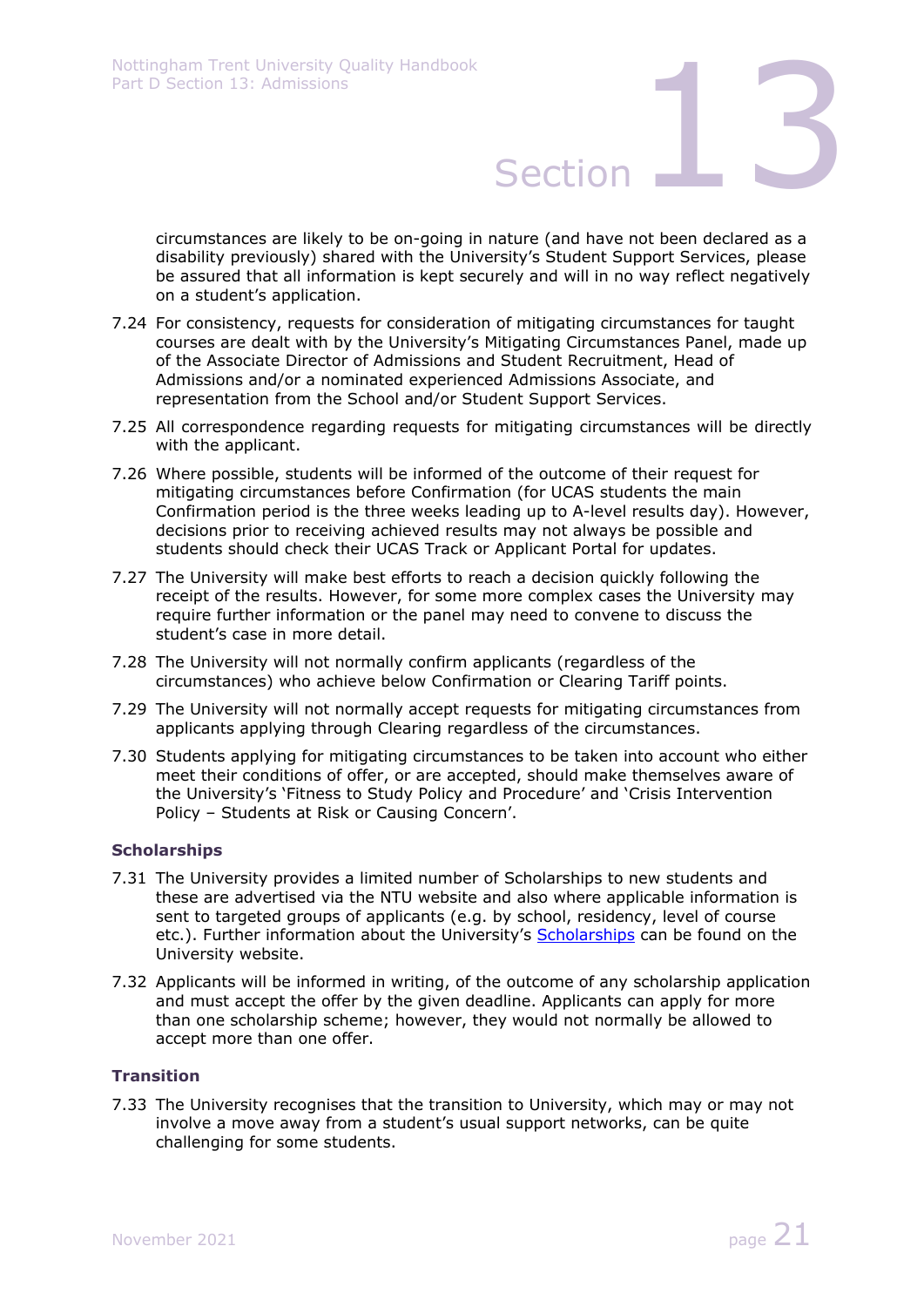circumstances are likely to be on-going in nature (and have not been declared as a disability previously) shared with the University's Student Support Services, please be assured that all information is kept securely and will in no way reflect negatively on a student's application.

- 7.24 For consistency, requests for consideration of mitigating circumstances for taught courses are dealt with by the University's Mitigating Circumstances Panel, made up of the Associate Director of Admissions and Student Recruitment, Head of Admissions and/or a nominated experienced Admissions Associate, and representation from the School and/or Student Support Services.
- 7.25 All correspondence regarding requests for mitigating circumstances will be directly with the applicant.
- 7.26 Where possible, students will be informed of the outcome of their request for mitigating circumstances before Confirmation (for UCAS students the main Confirmation period is the three weeks leading up to A-level results day). However, decisions prior to receiving achieved results may not always be possible and students should check their UCAS Track or Applicant Portal for updates.
- 7.27 The University will make best efforts to reach a decision quickly following the receipt of the results. However, for some more complex cases the University may require further information or the panel may need to convene to discuss the student's case in more detail.
- 7.28 The University will not normally confirm applicants (regardless of the circumstances) who achieve below Confirmation or Clearing Tariff points.
- 7.29 The University will not normally accept requests for mitigating circumstances from applicants applying through Clearing regardless of the circumstances.
- 7.30 Students applying for mitigating circumstances to be taken into account who either meet their conditions of offer, or are accepted, should make themselves aware of the University's 'Fitness to Study Policy and Procedure' and 'Crisis Intervention Policy – Students at Risk or Causing Concern'.

### **Scholarships**

- 7.31 The University provides a limited number of Scholarships to new students and these are advertised via the NTU website and also where applicable information is sent to targeted groups of applicants (e.g. by school, residency, level of course etc.). Further information about the University's Scholarships can be found on the University website.
- 7.32 Applicants will be informed in writing, of the outcome of any scholarship application and must accept the offer by the given deadline. Applicants can apply for more than one scholarship scheme; however, they would not normally be allowed to accept more than one offer.

### **Transition**

7.33 The University recognises that the transition to University, which may or may not involve a move away from a student's usual support networks, can be quite challenging for some students.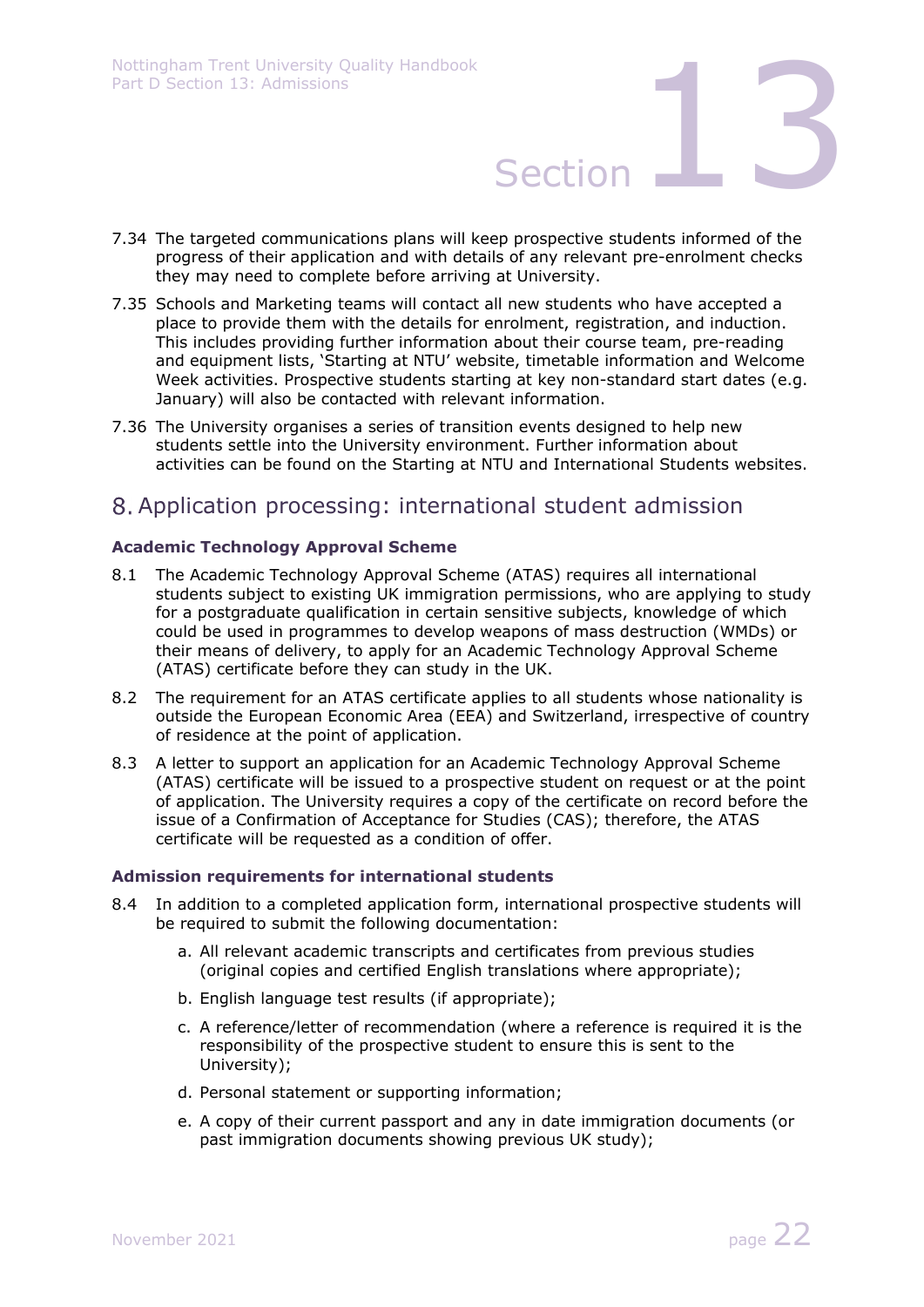- 7.34 The targeted communications plans will keep prospective students informed of the progress of their application and with details of any relevant pre-enrolment checks they may need to complete before arriving at University.
- 7.35 Schools and Marketing teams will contact all new students who have accepted a place to provide them with the details for enrolment, registration, and induction. This includes providing further information about their course team, pre-reading and equipment lists, 'Starting at NTU' website, timetable information and Welcome Week activities. Prospective students starting at key non-standard start dates (e.g. January) will also be contacted with relevant information.
- 7.36 The University organises a series of transition events designed to help new students settle into the University environment. Further information about activities can be found on the Starting at NTU and International Students websites.

# Application processing: international student admission

### **Academic Technology Approval Scheme**

- 8.1 The Academic Technology Approval Scheme (ATAS) requires all international students subject to existing UK immigration permissions, who are applying to study for a postgraduate qualification in certain sensitive subjects, knowledge of which could be used in programmes to develop weapons of mass destruction (WMDs) or their means of delivery, to apply for an Academic Technology Approval Scheme (ATAS) certificate before they can study in the UK.
- 8.2 The requirement for an ATAS certificate applies to all students whose nationality is outside the European Economic Area (EEA) and Switzerland, irrespective of country of residence at the point of application.
- 8.3 A letter to support an application for an Academic Technology Approval Scheme (ATAS) certificate will be issued to a prospective student on request or at the point of application. The University requires a copy of the certificate on record before the issue of a Confirmation of Acceptance for Studies (CAS); therefore, the ATAS certificate will be requested as a condition of offer.

### **Admission requirements for international students**

- 8.4 In addition to a completed application form, international prospective students will be required to submit the following documentation:
	- a. All relevant academic transcripts and certificates from previous studies (original copies and certified English translations where appropriate);
	- b. English language test results (if appropriate);
	- c. A reference/letter of recommendation (where a reference is required it is the responsibility of the prospective student to ensure this is sent to the University);
	- d. Personal statement or supporting information;
	- e. A copy of their current passport and any in date immigration documents (or past immigration documents showing previous UK study);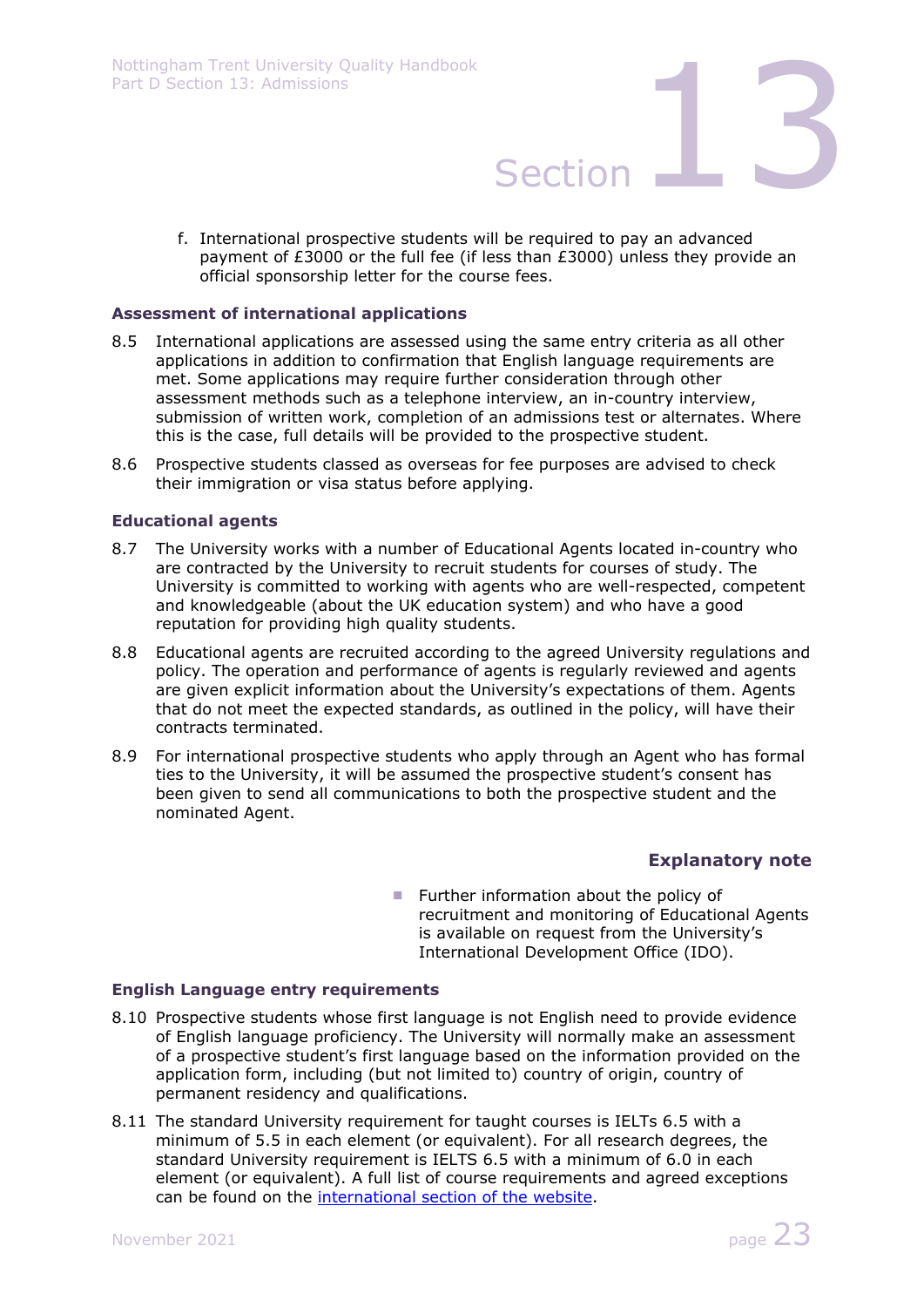- Nottingham Trent University Quality Handbook<br>Part D Section 13: Admissions<br>Section
	- f. International prospective students will be required to pay an advanced payment of £3000 or the full fee (if less than £3000) unless they provide an official sponsorship letter for the course fees.

### **Assessment of international applications**

- 8.5 International applications are assessed using the same entry criteria as all other applications in addition to confirmation that English language requirements are met. Some applications may require further consideration through other assessment methods such as a telephone interview, an in-country interview, submission of written work, completion of an admissions test or alternates. Where this is the case, full details will be provided to the prospective student.
- 8.6 Prospective students classed as overseas for fee purposes are advised to check their immigration or visa status before applying.

### **Educational agents**

- 8.7 The University works with a number of Educational Agents located in-country who are contracted by the University to recruit students for courses of study. The University is committed to working with agents who are well-respected, competent and knowledgeable (about the UK education system) and who have a good reputation for providing high quality students.
- 8.8 Educational agents are recruited according to the agreed University regulations and policy. The operation and performance of agents is regularly reviewed and agents are given explicit information about the University's expectations of them. Agents that do not meet the expected standards, as outlined in the policy, will have their contracts terminated.
- 8.9 For international prospective students who apply through an Agent who has formal ties to the University, it will be assumed the prospective student's consent has been given to send all communications to both the prospective student and the nominated Agent.

### **Explanatory note**

**Further information about the policy of** recruitment and monitoring of Educational Agents is available on request from the University's International Development Office (IDO).

### **English Language entry requirements**

- 8.10 Prospective students whose first language is not English need to provide evidence of English language proficiency. The University will normally make an assessment of a prospective student's first language based on the information provided on the application form, including (but not limited to) country of origin, country of permanent residency and qualifications.
- 8.11 The standard University requirement for taught courses is IELTs 6.5 with a minimum of 5.5 in each element (or equivalent). For all research degrees, the standard University requirement is IELTS 6.5 with a minimum of 6.0 in each element (or equivalent). A full list of course requirements and agreed exceptions can be found on the international section of the website.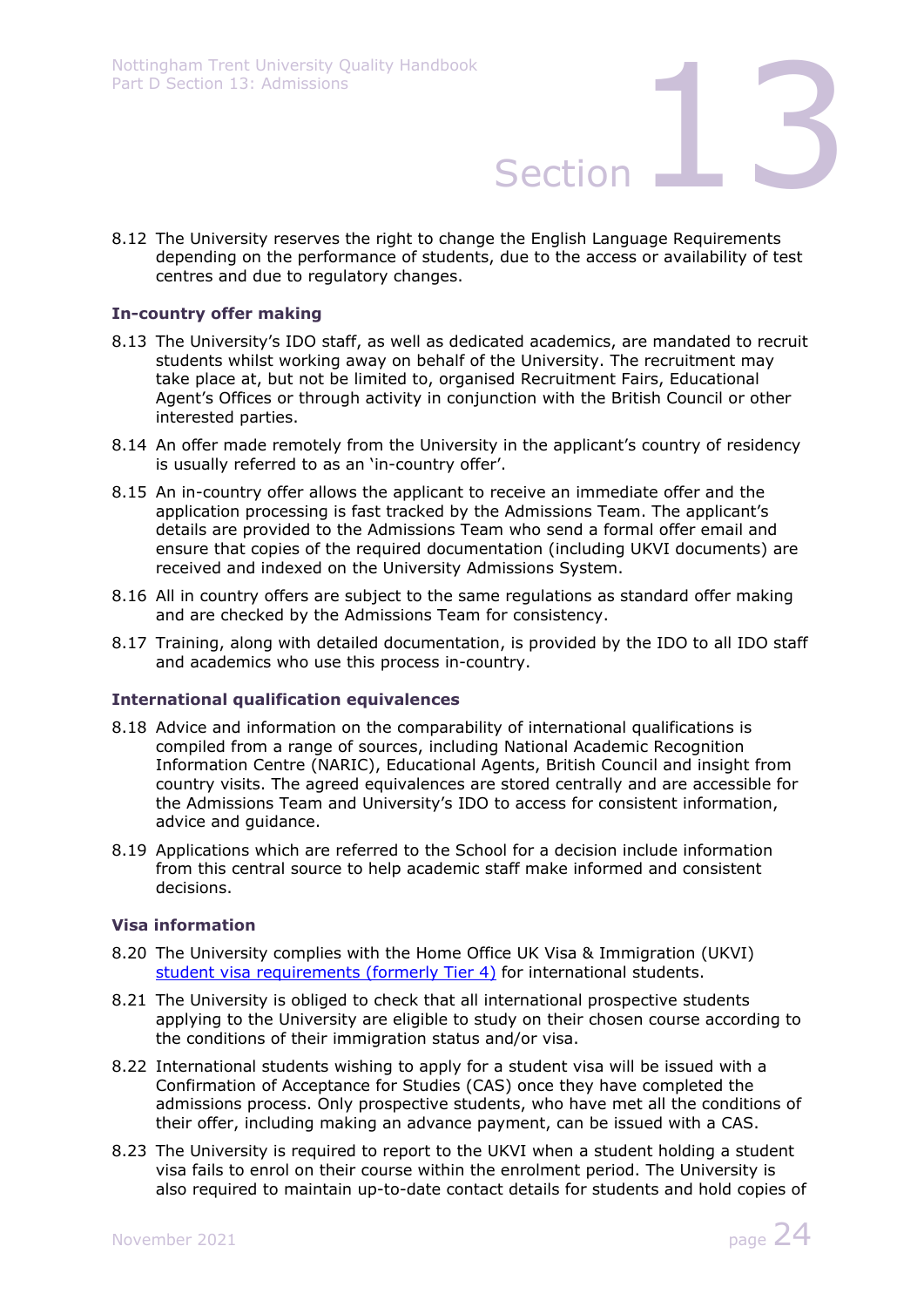8.12 The University reserves the right to change the English Language Requirements depending on the performance of students, due to the access or availability of test centres and due to regulatory changes.

### **In-country offer making**

- 8.13 The University's IDO staff, as well as dedicated academics, are mandated to recruit students whilst working away on behalf of the University. The recruitment may take place at, but not be limited to, organised Recruitment Fairs, Educational Agent's Offices or through activity in conjunction with the British Council or other interested parties.
- 8.14 An offer made remotely from the University in the applicant's country of residency is usually referred to as an 'in-country offer'.
- 8.15 An in-country offer allows the applicant to receive an immediate offer and the application processing is fast tracked by the Admissions Team. The applicant's details are provided to the Admissions Team who send a formal offer email and ensure that copies of the required documentation (including UKVI documents) are received and indexed on the University Admissions System.
- 8.16 All in country offers are subject to the same regulations as standard offer making and are checked by the Admissions Team for consistency.
- 8.17 Training, along with detailed documentation, is provided by the IDO to all IDO staff and academics who use this process in-country.

### **International qualification equivalences**

- 8.18 Advice and information on the comparability of international qualifications is compiled from a range of sources, including National Academic Recognition Information Centre (NARIC), Educational Agents, British Council and insight from country visits. The agreed equivalences are stored centrally and are accessible for the Admissions Team and University's IDO to access for consistent information, advice and guidance.
- 8.19 Applications which are referred to the School for a decision include information from this central source to help academic staff make informed and consistent decisions.

### **Visa information**

- 8.20 The University complies with the Home Office UK Visa & Immigration (UKVI) student visa requirements (formerly Tier 4) for international students.
- 8.21 The University is obliged to check that all international prospective students applying to the University are eligible to study on their chosen course according to the conditions of their immigration status and/or visa.
- 8.22 International students wishing to apply for a student visa will be issued with a Confirmation of Acceptance for Studies (CAS) once they have completed the admissions process. Only prospective students, who have met all the conditions of their offer, including making an advance payment, can be issued with a CAS.
- 8.23 The University is required to report to the UKVI when a student holding a student visa fails to enrol on their course within the enrolment period. The University is also required to maintain up-to-date contact details for students and hold copies of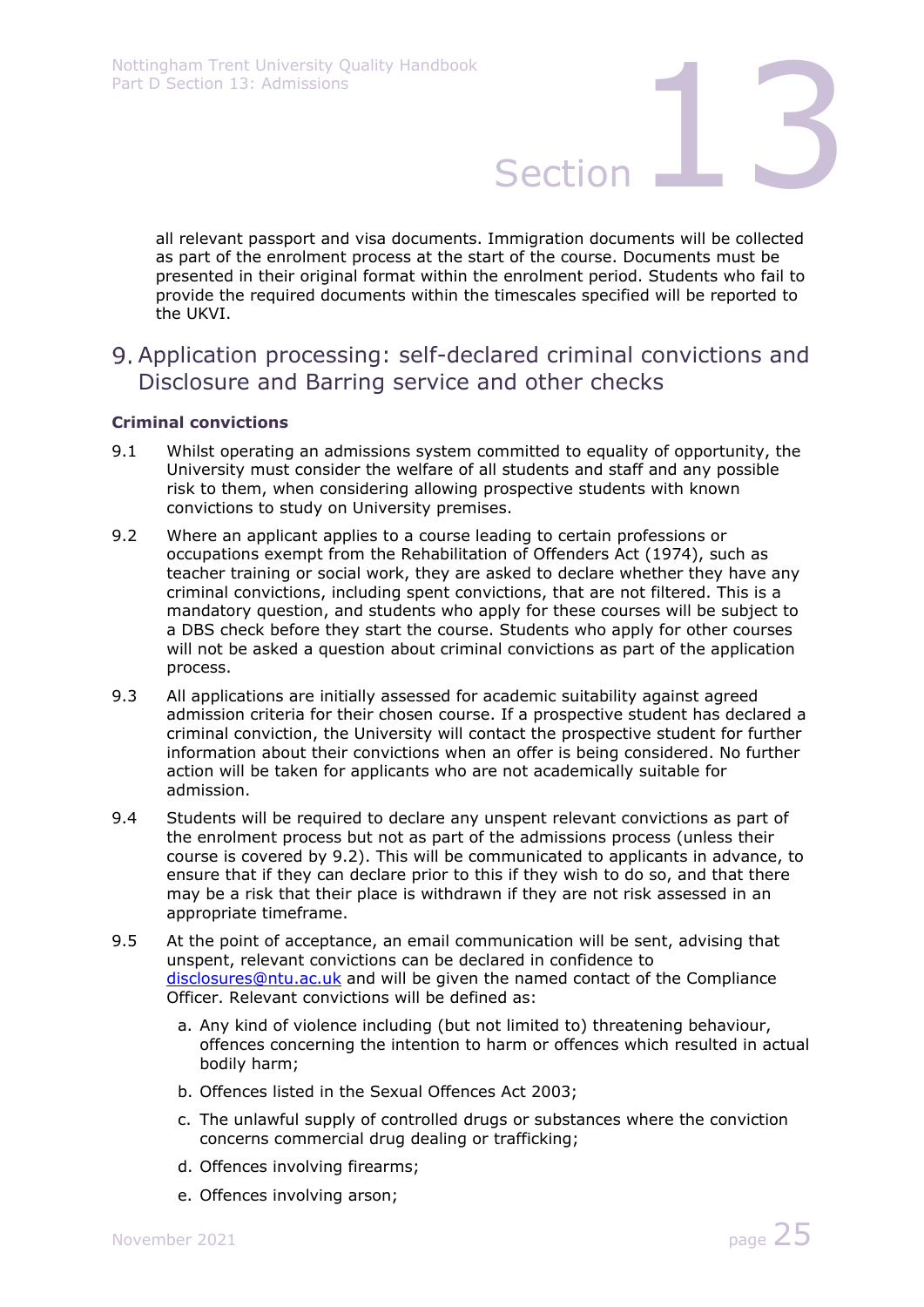all relevant passport and visa documents. Immigration documents will be collected as part of the enrolment process at the start of the course. Documents must be presented in their original format within the enrolment period. Students who fail to provide the required documents within the timescales specified will be reported to the UKVI.

Application processing: self-declared criminal convictions and Disclosure and Barring service and other checks

### **Criminal convictions**

- 9.1 Whilst operating an admissions system committed to equality of opportunity, the University must consider the welfare of all students and staff and any possible risk to them, when considering allowing prospective students with known convictions to study on University premises.
- 9.2 Where an applicant applies to a course leading to certain professions or occupations exempt from the Rehabilitation of Offenders Act (1974), such as teacher training or social work, they are asked to declare whether they have any criminal convictions, including spent convictions, that are not filtered. This is a mandatory question, and students who apply for these courses will be subject to a DBS check before they start the course. Students who apply for other courses will not be asked a question about criminal convictions as part of the application process.
- 9.3 All applications are initially assessed for academic suitability against agreed admission criteria for their chosen course. If a prospective student has declared a criminal conviction, the University will contact the prospective student for further information about their convictions when an offer is being considered. No further action will be taken for applicants who are not academically suitable for admission.
- 9.4 Students will be required to declare any unspent relevant convictions as part of the enrolment process but not as part of the admissions process (unless their course is covered by 9.2). This will be communicated to applicants in advance, to ensure that if they can declare prior to this if they wish to do so, and that there may be a risk that their place is withdrawn if they are not risk assessed in an appropriate timeframe.
- 9.5 At the point of acceptance, an email communication will be sent, advising that unspent, relevant convictions can be declared in confidence to disclosures@ntu.ac.uk and will be given the named contact of the Compliance Officer. Relevant convictions will be defined as:
	- a. Any kind of violence including (but not limited to) threatening behaviour, offences concerning the intention to harm or offences which resulted in actual bodily harm;
	- b. Offences listed in the Sexual Offences Act 2003;
	- c. The unlawful supply of controlled drugs or substances where the conviction concerns commercial drug dealing or trafficking;
	- d. Offences involving firearms;
	- e. Offences involving arson;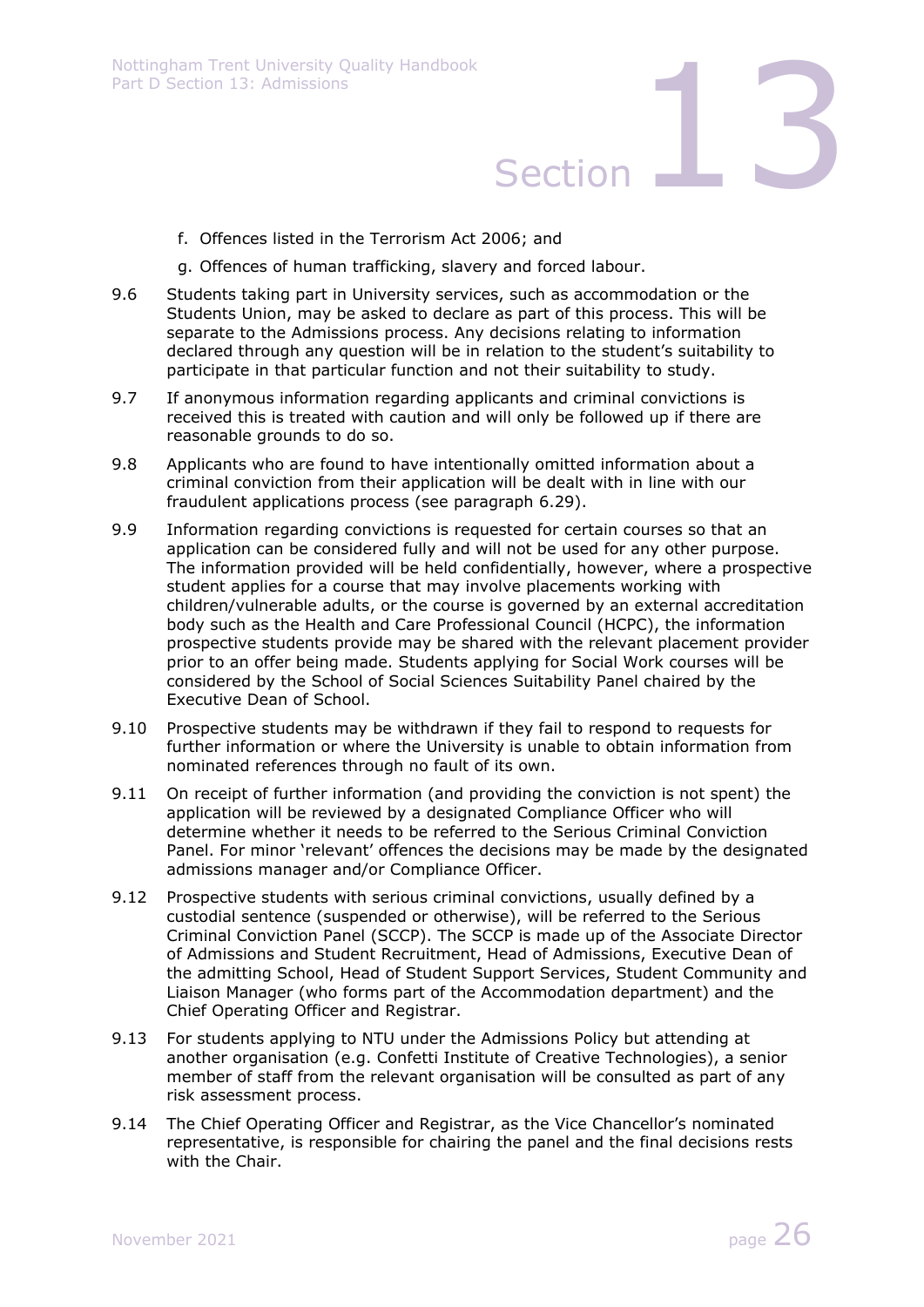- f. Offences listed in the Terrorism Act 2006; and
- g. Offences of human trafficking, slavery and forced labour.
- 9.6 Students taking part in University services, such as accommodation or the Students Union, may be asked to declare as part of this process. This will be separate to the Admissions process. Any decisions relating to information declared through any question will be in relation to the student's suitability to participate in that particular function and not their suitability to study.
- 9.7 If anonymous information regarding applicants and criminal convictions is received this is treated with caution and will only be followed up if there are reasonable grounds to do so.
- 9.8 Applicants who are found to have intentionally omitted information about a criminal conviction from their application will be dealt with in line with our fraudulent applications process (see paragraph 6.29).
- 9.9 Information regarding convictions is requested for certain courses so that an application can be considered fully and will not be used for any other purpose. The information provided will be held confidentially, however, where a prospective student applies for a course that may involve placements working with children/vulnerable adults, or the course is governed by an external accreditation body such as the Health and Care Professional Council (HCPC), the information prospective students provide may be shared with the relevant placement provider prior to an offer being made. Students applying for Social Work courses will be considered by the School of Social Sciences Suitability Panel chaired by the Executive Dean of School.
- 9.10 Prospective students may be withdrawn if they fail to respond to requests for further information or where the University is unable to obtain information from nominated references through no fault of its own.
- 9.11 On receipt of further information (and providing the conviction is not spent) the application will be reviewed by a designated Compliance Officer who will determine whether it needs to be referred to the Serious Criminal Conviction Panel. For minor 'relevant' offences the decisions may be made by the designated admissions manager and/or Compliance Officer.
- 9.12 Prospective students with serious criminal convictions, usually defined by a custodial sentence (suspended or otherwise), will be referred to the Serious Criminal Conviction Panel (SCCP). The SCCP is made up of the Associate Director of Admissions and Student Recruitment, Head of Admissions, Executive Dean of the admitting School, Head of Student Support Services, Student Community and Liaison Manager (who forms part of the Accommodation department) and the Chief Operating Officer and Registrar.
- 9.13 For students applying to NTU under the Admissions Policy but attending at another organisation (e.g. Confetti Institute of Creative Technologies), a senior member of staff from the relevant organisation will be consulted as part of any risk assessment process.
- 9.14 The Chief Operating Officer and Registrar, as the Vice Chancellor's nominated representative, is responsible for chairing the panel and the final decisions rests with the Chair.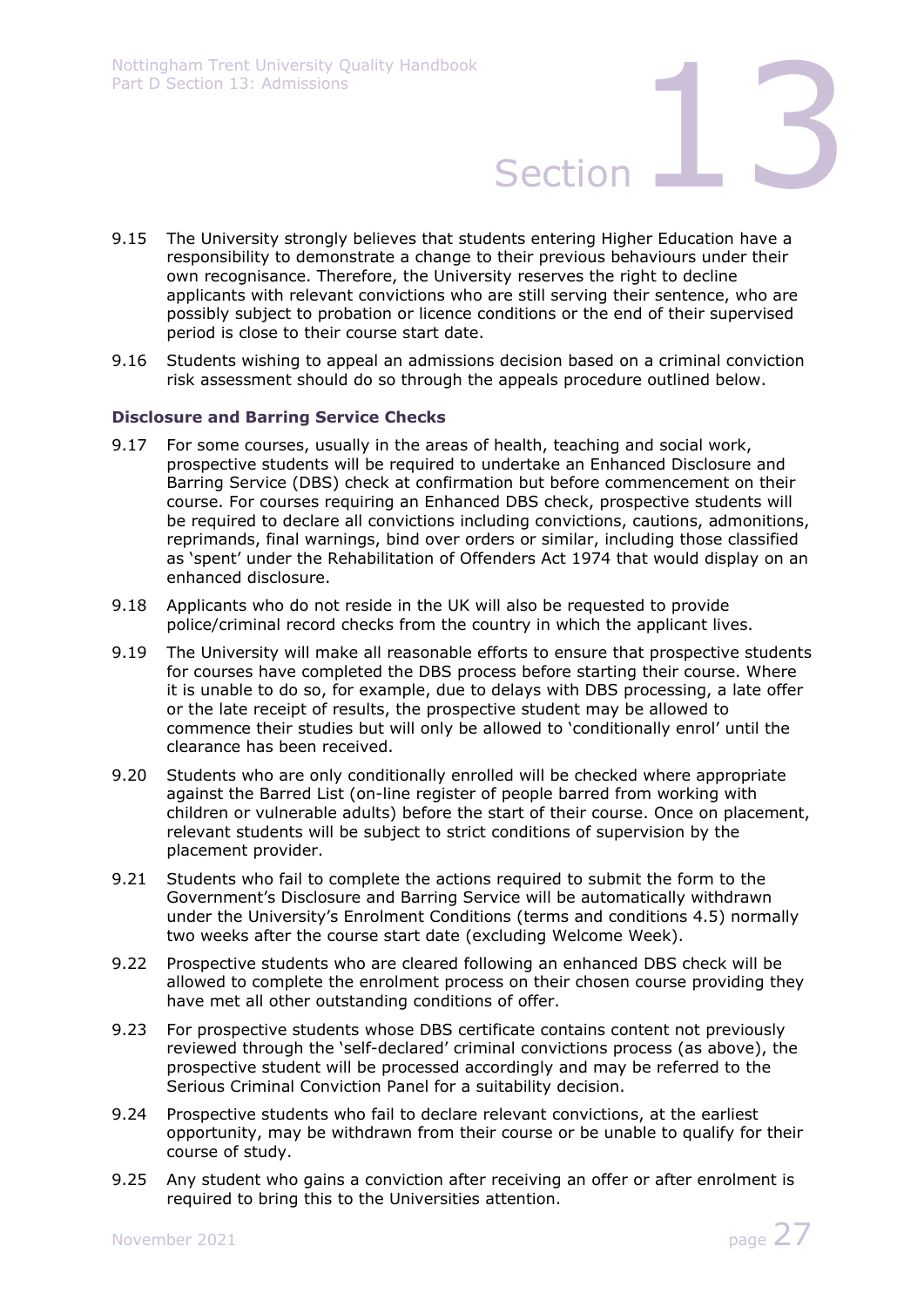

- 9.15 The University strongly believes that students entering Higher Education have a responsibility to demonstrate a change to their previous behaviours under their own recognisance. Therefore, the University reserves the right to decline applicants with relevant convictions who are still serving their sentence, who are possibly subject to probation or licence conditions or the end of their supervised period is close to their course start date.
- 9.16 Students wishing to appeal an admissions decision based on a criminal conviction risk assessment should do so through the appeals procedure outlined below.

### **Disclosure and Barring Service Checks**

- 9.17 For some courses, usually in the areas of health, teaching and social work, prospective students will be required to undertake an Enhanced Disclosure and Barring Service (DBS) check at confirmation but before commencement on their course. For courses requiring an Enhanced DBS check, prospective students will be required to declare all convictions including convictions, cautions, admonitions, reprimands, final warnings, bind over orders or similar, including those classified as 'spent' under the Rehabilitation of Offenders Act 1974 that would display on an enhanced disclosure.
- 9.18 Applicants who do not reside in the UK will also be requested to provide police/criminal record checks from the country in which the applicant lives.
- 9.19 The University will make all reasonable efforts to ensure that prospective students for courses have completed the DBS process before starting their course. Where it is unable to do so, for example, due to delays with DBS processing, a late offer or the late receipt of results, the prospective student may be allowed to commence their studies but will only be allowed to 'conditionally enrol' until the clearance has been received.
- 9.20 Students who are only conditionally enrolled will be checked where appropriate against the Barred List (on-line register of people barred from working with children or vulnerable adults) before the start of their course. Once on placement, relevant students will be subject to strict conditions of supervision by the placement provider.
- 9.21 Students who fail to complete the actions required to submit the form to the Government's Disclosure and Barring Service will be automatically withdrawn under the University's Enrolment Conditions (terms and conditions 4.5) normally two weeks after the course start date (excluding Welcome Week).
- 9.22 Prospective students who are cleared following an enhanced DBS check will be allowed to complete the enrolment process on their chosen course providing they have met all other outstanding conditions of offer.
- 9.23 For prospective students whose DBS certificate contains content not previously reviewed through the 'self-declared' criminal convictions process (as above), the prospective student will be processed accordingly and may be referred to the Serious Criminal Conviction Panel for a suitability decision.
- 9.24 Prospective students who fail to declare relevant convictions, at the earliest opportunity, may be withdrawn from their course or be unable to qualify for their course of study.
- 9.25 Any student who gains a conviction after receiving an offer or after enrolment is required to bring this to the Universities attention.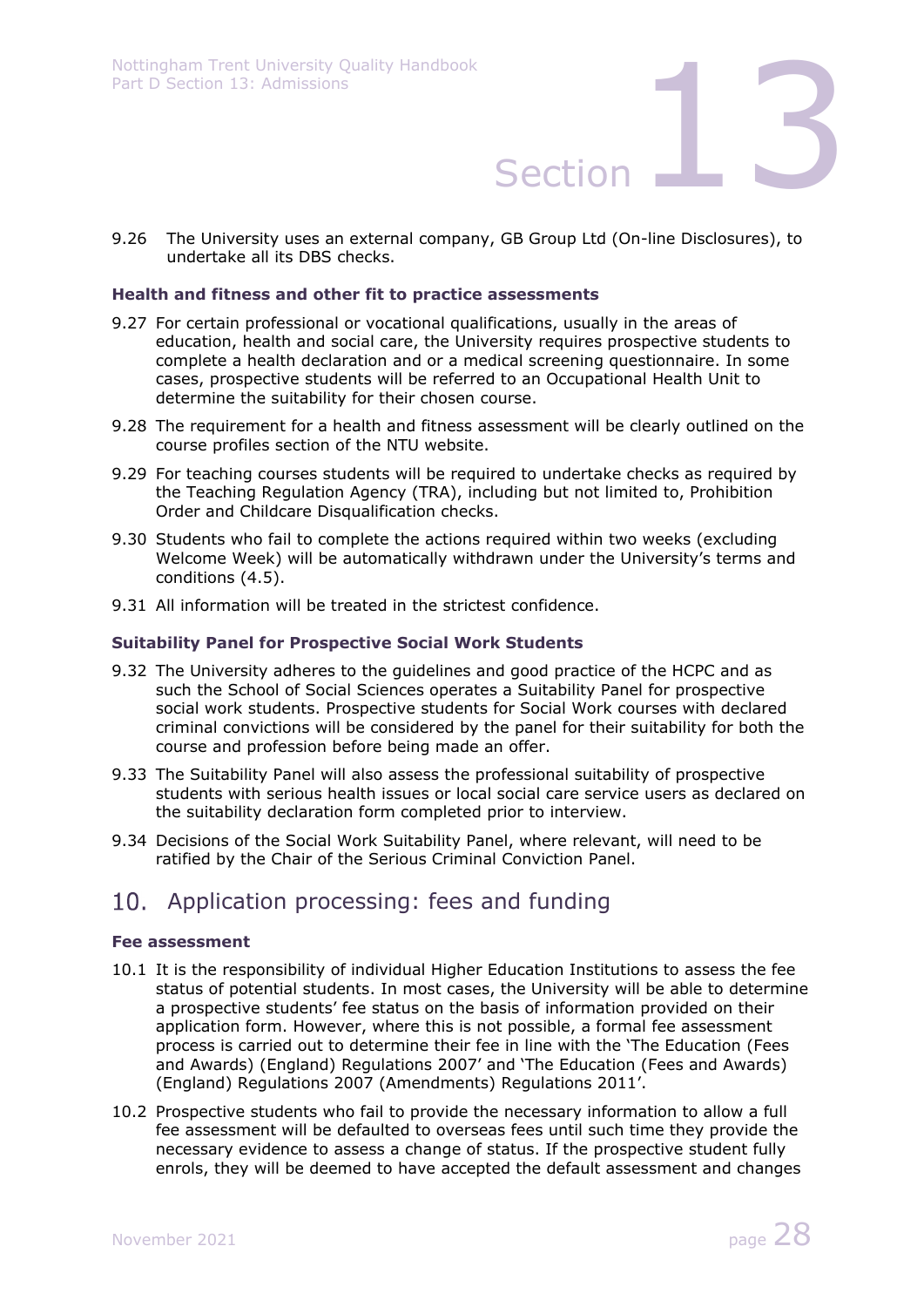9.26 The University uses an external company, GB Group Ltd (On-line Disclosures), to undertake all its DBS checks.

### **Health and fitness and other fit to practice assessments**

- 9.27 For certain professional or vocational qualifications, usually in the areas of education, health and social care, the University requires prospective students to complete a health declaration and or a medical screening questionnaire. In some cases, prospective students will be referred to an Occupational Health Unit to determine the suitability for their chosen course.
- 9.28 The requirement for a health and fitness assessment will be clearly outlined on the course profiles section of the NTU website.
- 9.29 For teaching courses students will be required to undertake checks as required by the Teaching Regulation Agency (TRA), including but not limited to, Prohibition Order and Childcare Disqualification checks.
- 9.30 Students who fail to complete the actions required within two weeks (excluding Welcome Week) will be automatically withdrawn under the University's terms and conditions (4.5).
- 9.31 All information will be treated in the strictest confidence.

### **Suitability Panel for Prospective Social Work Students**

- 9.32 The University adheres to the guidelines and good practice of the HCPC and as such the School of Social Sciences operates a Suitability Panel for prospective social work students. Prospective students for Social Work courses with declared criminal convictions will be considered by the panel for their suitability for both the course and profession before being made an offer.
- 9.33 The Suitability Panel will also assess the professional suitability of prospective students with serious health issues or local social care service users as declared on the suitability declaration form completed prior to interview.
- 9.34 Decisions of the Social Work Suitability Panel, where relevant, will need to be ratified by the Chair of the Serious Criminal Conviction Panel.

## 10. Application processing: fees and funding

### **Fee assessment**

- 10.1 It is the responsibility of individual Higher Education Institutions to assess the fee status of potential students. In most cases, the University will be able to determine a prospective students' fee status on the basis of information provided on their application form. However, where this is not possible, a formal fee assessment process is carried out to determine their fee in line with the 'The Education (Fees and Awards) (England) Regulations 2007' and 'The Education (Fees and Awards) (England) Regulations 2007 (Amendments) Regulations 2011'.
- 10.2 Prospective students who fail to provide the necessary information to allow a full fee assessment will be defaulted to overseas fees until such time they provide the necessary evidence to assess a change of status. If the prospective student fully enrols, they will be deemed to have accepted the default assessment and changes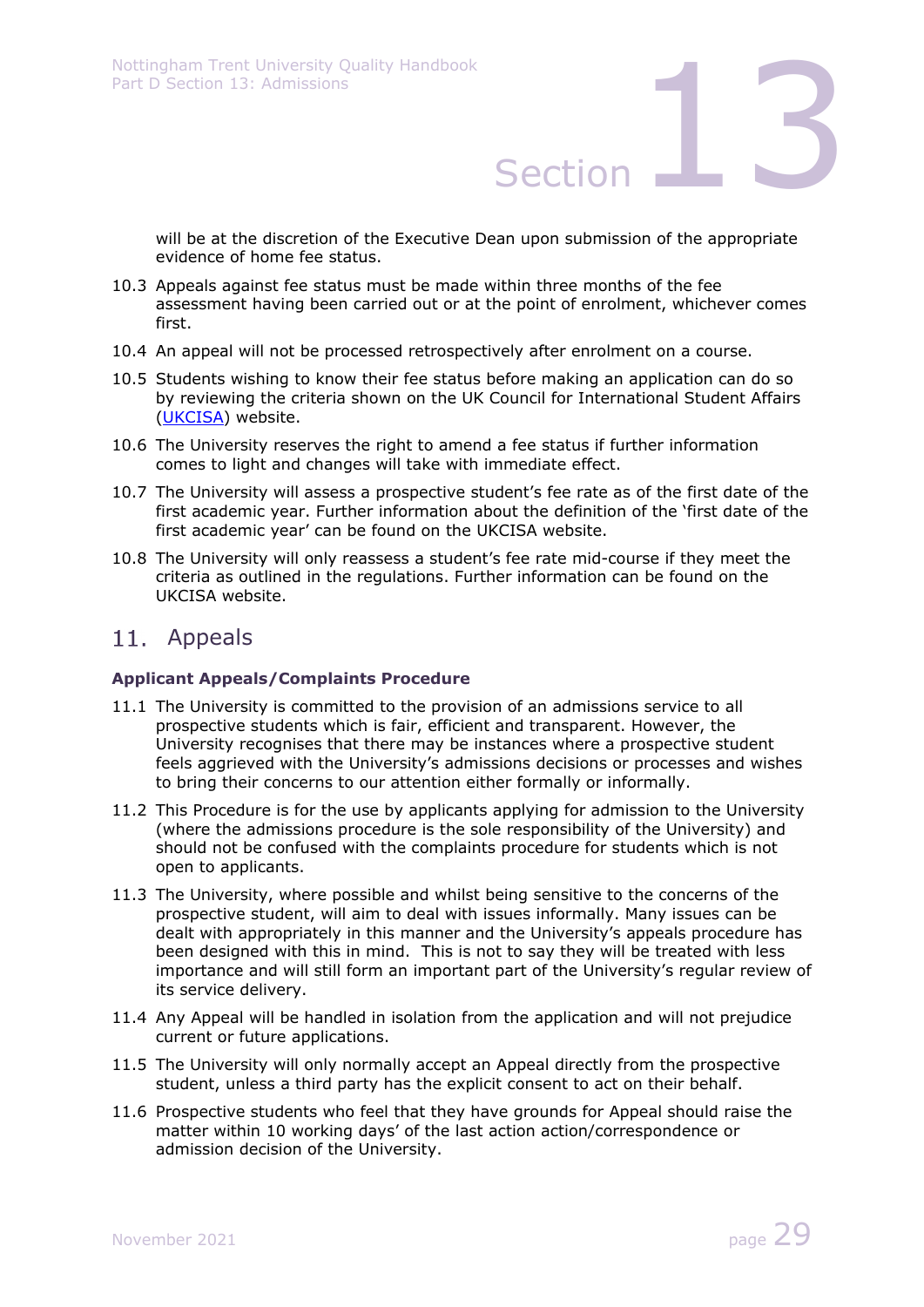will be at the discretion of the Executive Dean upon submission of the appropriate evidence of home fee status.

- 10.3 Appeals against fee status must be made within three months of the fee assessment having been carried out or at the point of enrolment, whichever comes first.
- 10.4 An appeal will not be processed retrospectively after enrolment on a course.
- 10.5 Students wishing to know their fee status before making an application can do so by reviewing the criteria shown on the UK Council for International Student Affairs (UKCISA) website.
- 10.6 The University reserves the right to amend a fee status if further information comes to light and changes will take with immediate effect.
- 10.7 The University will assess a prospective student's fee rate as of the first date of the first academic year. Further information about the definition of the 'first date of the first academic year' can be found on the UKCISA website.
- 10.8 The University will only reassess a student's fee rate mid-course if they meet the criteria as outlined in the regulations. Further information can be found on the UKCISA website.

## 11. Appeals

### **Applicant Appeals/Complaints Procedure**

- 11.1 The University is committed to the provision of an admissions service to all prospective students which is fair, efficient and transparent. However, the University recognises that there may be instances where a prospective student feels aggrieved with the University's admissions decisions or processes and wishes to bring their concerns to our attention either formally or informally.
- 11.2 This Procedure is for the use by applicants applying for admission to the University (where the admissions procedure is the sole responsibility of the University) and should not be confused with the complaints procedure for students which is not open to applicants.
- 11.3 The University, where possible and whilst being sensitive to the concerns of the prospective student, will aim to deal with issues informally. Many issues can be dealt with appropriately in this manner and the University's appeals procedure has been designed with this in mind. This is not to say they will be treated with less importance and will still form an important part of the University's regular review of its service delivery.
- 11.4 Any Appeal will be handled in isolation from the application and will not prejudice current or future applications.
- 11.5 The University will only normally accept an Appeal directly from the prospective student, unless a third party has the explicit consent to act on their behalf.
- 11.6 Prospective students who feel that they have grounds for Appeal should raise the matter within 10 working days' of the last action action/correspondence or admission decision of the University.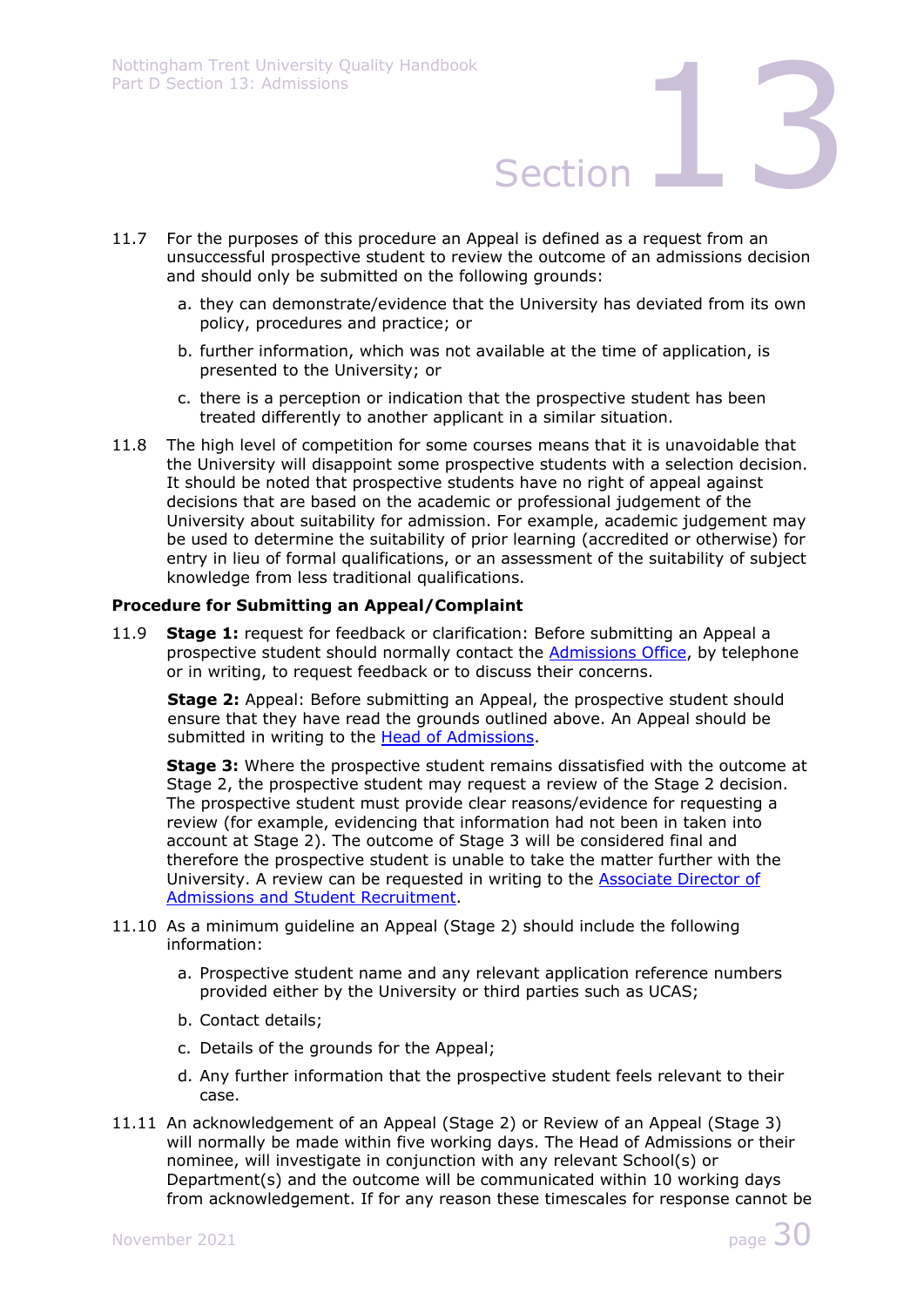- 11.7 For the purposes of this procedure an Appeal is defined as a request from an unsuccessful prospective student to review the outcome of an admissions decision and should only be submitted on the following grounds:
	- a. they can demonstrate/evidence that the University has deviated from its own policy, procedures and practice; or
	- b. further information, which was not available at the time of application, is presented to the University; or
	- c. there is a perception or indication that the prospective student has been treated differently to another applicant in a similar situation.
- 11.8 The high level of competition for some courses means that it is unavoidable that the University will disappoint some prospective students with a selection decision. It should be noted that prospective students have no right of appeal against decisions that are based on the academic or professional judgement of the University about suitability for admission. For example, academic judgement may be used to determine the suitability of prior learning (accredited or otherwise) for entry in lieu of formal qualifications, or an assessment of the suitability of subject knowledge from less traditional qualifications.

### **Procedure for Submitting an Appeal/Complaint**

11.9 **Stage 1:** request for feedback or clarification: Before submitting an Appeal a prospective student should normally contact the Admissions Office, by telephone or in writing, to request feedback or to discuss their concerns.

**Stage 2:** Appeal: Before submitting an Appeal, the prospective student should ensure that they have read the grounds outlined above. An Appeal should be submitted in writing to the **Head of Admissions**.

**Stage 3:** Where the prospective student remains dissatisfied with the outcome at Stage 2, the prospective student may request a review of the Stage 2 decision. The prospective student must provide clear reasons/evidence for requesting a review (for example, evidencing that information had not been in taken into account at Stage 2). The outcome of Stage 3 will be considered final and therefore the prospective student is unable to take the matter further with the University. A review can be requested in writing to the Associate Director of Admissions and Student Recruitment.

- 11.10 As a minimum guideline an Appeal (Stage 2) should include the following information:
	- a. Prospective student name and any relevant application reference numbers provided either by the University or third parties such as UCAS;
	- b. Contact details;
	- c. Details of the grounds for the Appeal;
	- d. Any further information that the prospective student feels relevant to their case.
- 11.11 An acknowledgement of an Appeal (Stage 2) or Review of an Appeal (Stage 3) will normally be made within five working days. The Head of Admissions or their nominee, will investigate in conjunction with any relevant School(s) or Department(s) and the outcome will be communicated within 10 working days from acknowledgement. If for any reason these timescales for response cannot be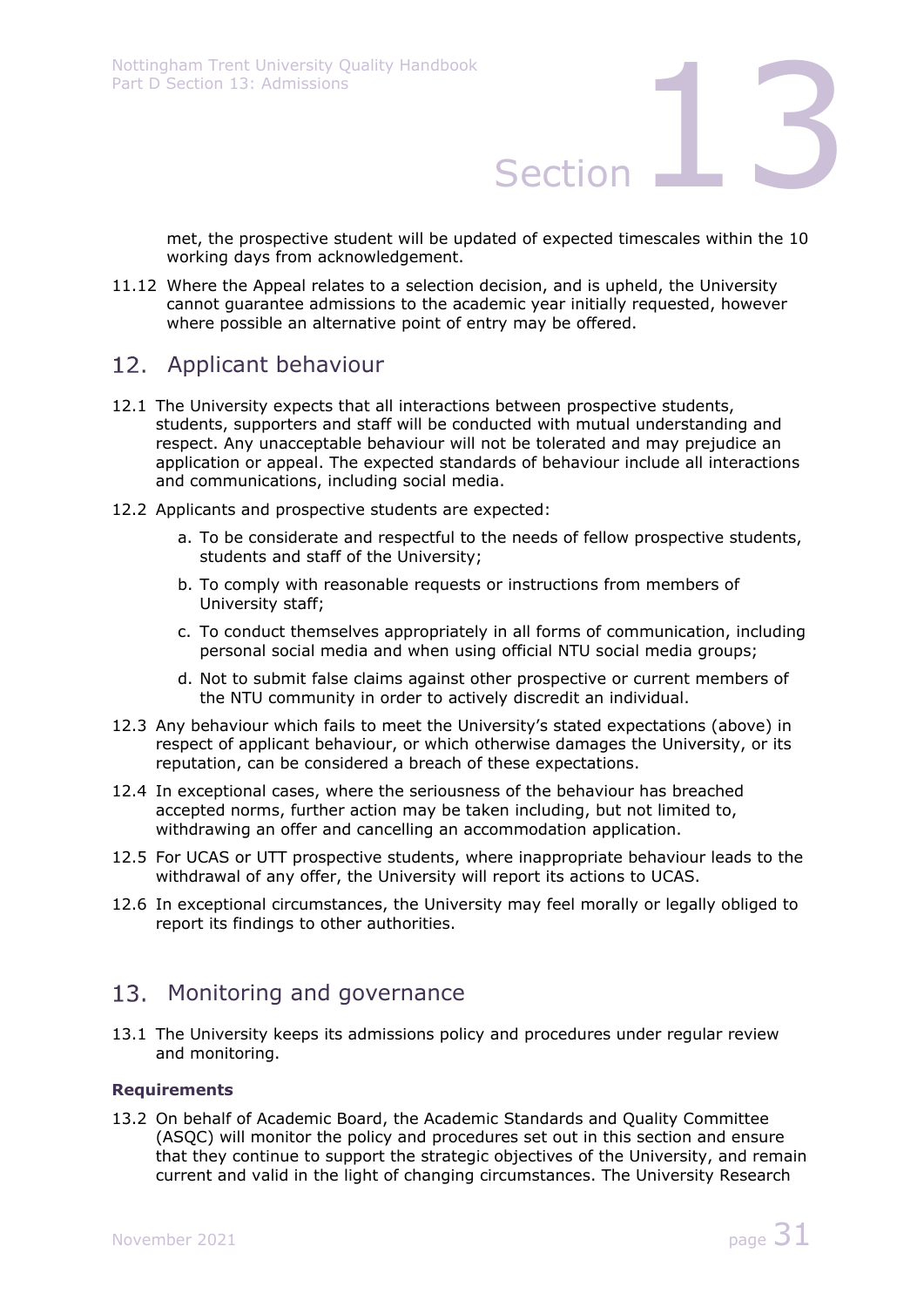met, the prospective student will be updated of expected timescales within the 10 working days from acknowledgement.

11.12 Where the Appeal relates to a selection decision, and is upheld, the University cannot guarantee admissions to the academic year initially requested, however where possible an alternative point of entry may be offered.

# 12. Applicant behaviour

- 12.1 The University expects that all interactions between prospective students, students, supporters and staff will be conducted with mutual understanding and respect. Any unacceptable behaviour will not be tolerated and may prejudice an application or appeal. The expected standards of behaviour include all interactions and communications, including social media.
- 12.2 Applicants and prospective students are expected:
	- a. To be considerate and respectful to the needs of fellow prospective students, students and staff of the University;
	- b. To comply with reasonable requests or instructions from members of University staff;
	- c. To conduct themselves appropriately in all forms of communication, including personal social media and when using official NTU social media groups;
	- d. Not to submit false claims against other prospective or current members of the NTU community in order to actively discredit an individual.
- 12.3 Any behaviour which fails to meet the University's stated expectations (above) in respect of applicant behaviour, or which otherwise damages the University, or its reputation, can be considered a breach of these expectations.
- 12.4 In exceptional cases, where the seriousness of the behaviour has breached accepted norms, further action may be taken including, but not limited to, withdrawing an offer and cancelling an accommodation application.
- 12.5 For UCAS or UTT prospective students, where inappropriate behaviour leads to the withdrawal of any offer, the University will report its actions to UCAS.
- 12.6 In exceptional circumstances, the University may feel morally or legally obliged to report its findings to other authorities.

## 13. Monitoring and governance

13.1 The University keeps its admissions policy and procedures under regular review and monitoring.

### **Requirements**

13.2 On behalf of Academic Board, the Academic Standards and Quality Committee (ASQC) will monitor the policy and procedures set out in this section and ensure that they continue to support the strategic objectives of the University, and remain current and valid in the light of changing circumstances. The University Research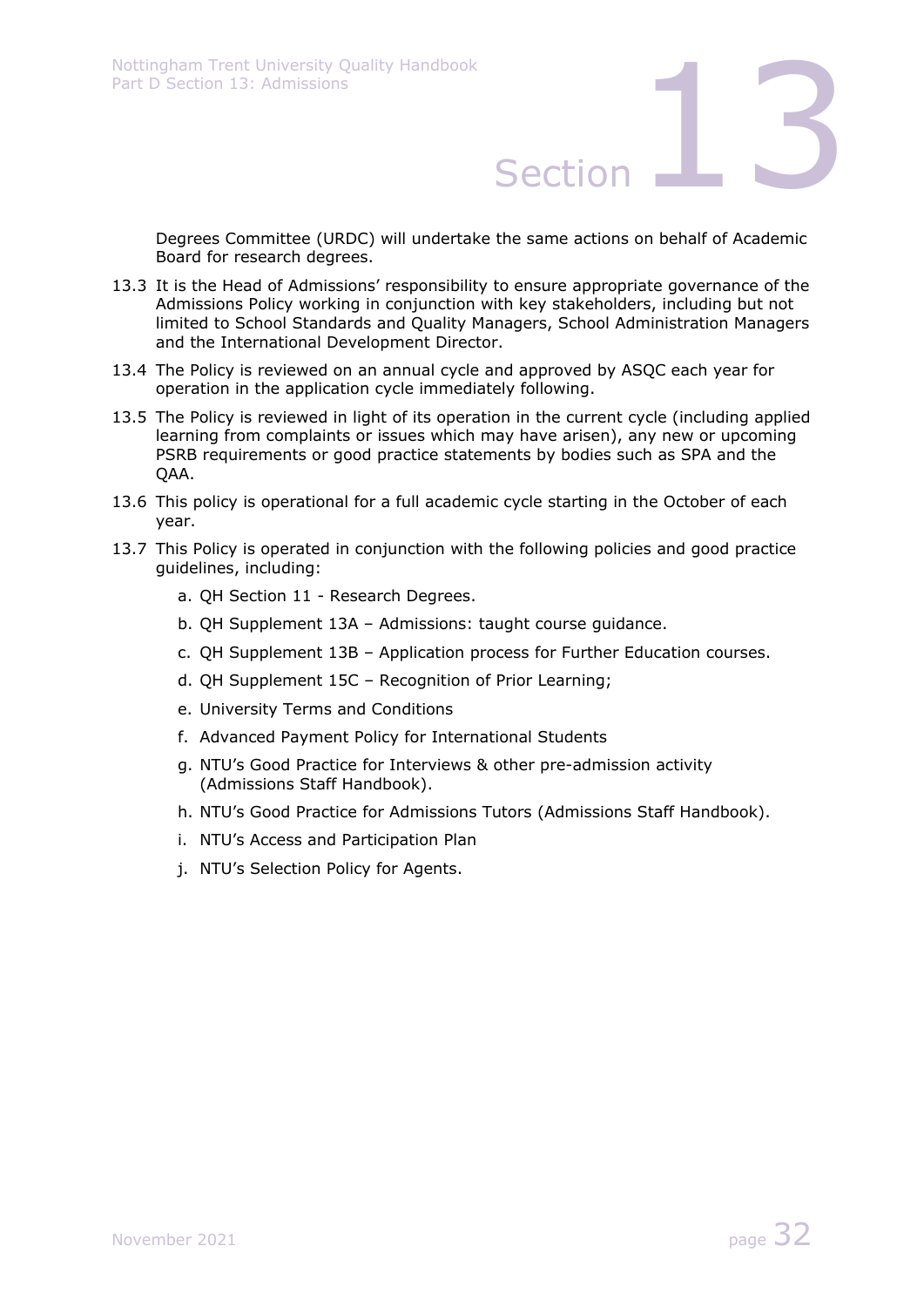Degrees Committee (URDC) will undertake the same actions on behalf of Academic Board for research degrees.

- 13.3 It is the Head of Admissions' responsibility to ensure appropriate governance of the Admissions Policy working in conjunction with key stakeholders, including but not limited to School Standards and Quality Managers, School Administration Managers and the International Development Director.
- 13.4 The Policy is reviewed on an annual cycle and approved by ASQC each year for operation in the application cycle immediately following.
- 13.5 The Policy is reviewed in light of its operation in the current cycle (including applied learning from complaints or issues which may have arisen), any new or upcoming PSRB requirements or good practice statements by bodies such as SPA and the QAA.
- 13.6 This policy is operational for a full academic cycle starting in the October of each year.
- 13.7 This Policy is operated in conjunction with the following policies and good practice guidelines, including:
	- a. QH Section 11 Research Degrees.
	- b. QH Supplement 13A Admissions: taught course guidance.
	- c. QH Supplement 13B Application process for Further Education courses.
	- d. QH Supplement 15C Recognition of Prior Learning;
	- e. University Terms and Conditions
	- f. Advanced Payment Policy for International Students
	- g. NTU's Good Practice for Interviews & other pre-admission activity (Admissions Staff Handbook).
	- h. NTU's Good Practice for Admissions Tutors (Admissions Staff Handbook).
	- i. NTU's Access and Participation Plan
	- j. NTU's Selection Policy for Agents.